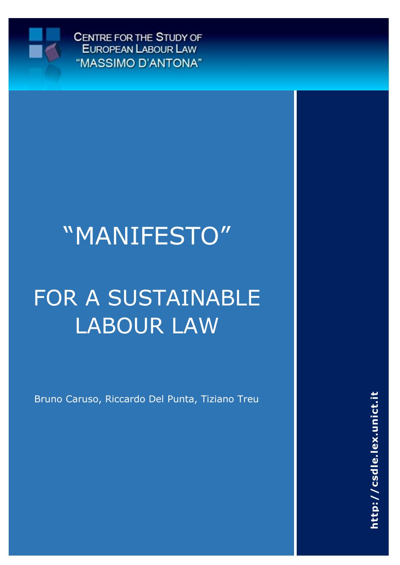

CENTRE FOR THE STUDY OF EUROPEAN LABOUR LAW "MASSIMO D'ANTONA"

# "MANIFESTO"

# FOR A SUSTAINABLE LABOUR LAW

Bruno Caruso, Riccardo Del Punta, Tiziano Treu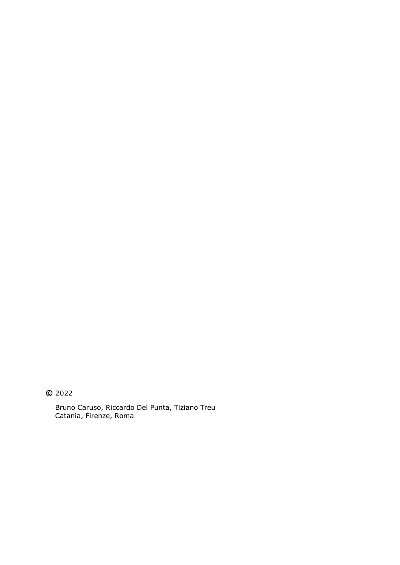**©** 2022

Bruno Caruso, Riccardo Del Punta, Tiziano Treu Catania, Firenze, Roma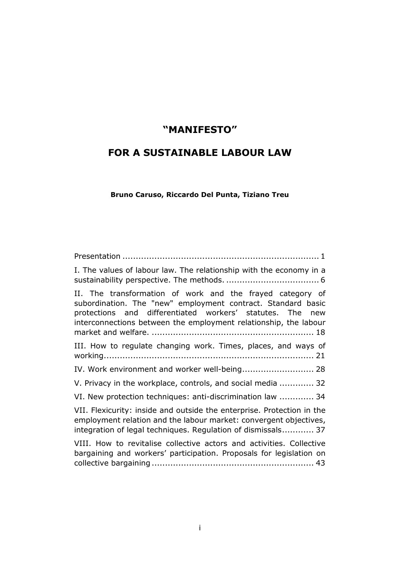# **"MANIFESTO"**

# **FOR A SUSTAINABLE LABOUR LAW**

**Bruno Caruso, Riccardo Del Punta, Tiziano Treu**

| I. The values of labour law. The relationship with the economy in a                                                                                                                                                                                           |
|---------------------------------------------------------------------------------------------------------------------------------------------------------------------------------------------------------------------------------------------------------------|
| II. The transformation of work and the frayed category of<br>subordination. The "new" employment contract. Standard basic<br>protections and differentiated workers' statutes. The<br>new<br>interconnections between the employment relationship, the labour |
| III. How to regulate changing work. Times, places, and ways of                                                                                                                                                                                                |
| IV. Work environment and worker well-being 28                                                                                                                                                                                                                 |
| V. Privacy in the workplace, controls, and social media  32                                                                                                                                                                                                   |
| VI. New protection techniques: anti-discrimination law  34                                                                                                                                                                                                    |
| VII. Flexicurity: inside and outside the enterprise. Protection in the<br>employment relation and the labour market: convergent objectives,<br>integration of legal techniques. Regulation of dismissals 37                                                   |
| VIII. How to revitalise collective actors and activities. Collective<br>bargaining and workers' participation. Proposals for legislation on                                                                                                                   |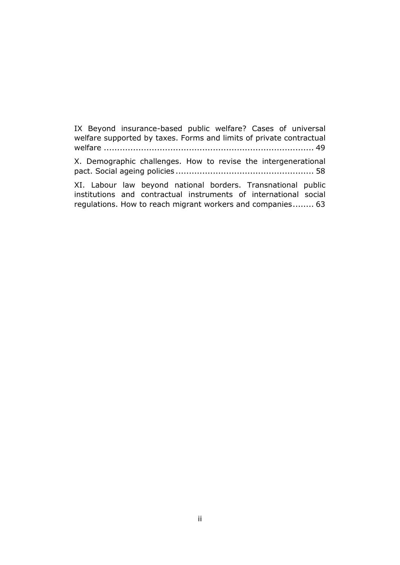[IX Beyond insurance-based public welfare? Cases of universal](#page-53-0)  [welfare supported by taxes. Forms and limits of](#page-53-0) private contractual welfare [...............................................................................](#page-53-0) 49 [X. Demographic challenges. How to revise the intergenerational](#page-62-0) 

pact. Social ageing policies [....................................................](#page-62-0) 58

[XI. Labour law beyond national borders. Transnational public](#page-67-0)  [institutions and contractual instruments of international social](#page-67-0)  regulations. [How to reach migrant workers and companies........](#page-67-0) 63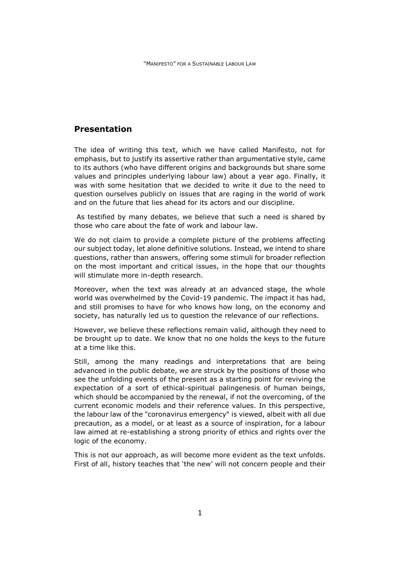# <span id="page-5-0"></span>**Presentation**

The idea of writing this text, which we have called Manifesto, not for emphasis, but to justify its assertive rather than argumentative style, came to its authors (who have different origins and backgrounds but share some values and principles underlying labour law) about a year ago. Finally, it was with some hesitation that we decided to write it due to the need to question ourselves publicly on issues that are raging in the world of work and on the future that lies ahead for its actors and our discipline.

As testified by many debates, we believe that such a need is shared by those who care about the fate of work and labour law.

We do not claim to provide a complete picture of the problems affecting our subject today, let alone definitive solutions. Instead, we intend to share questions, rather than answers, offering some stimuli for broader reflection on the most important and critical issues, in the hope that our thoughts will stimulate more in-depth research.

Moreover, when the text was already at an advanced stage, the whole world was overwhelmed by the Covid-19 pandemic. The impact it has had, and still promises to have for who knows how long, on the economy and society, has naturally led us to question the relevance of our reflections.

However, we believe these reflections remain valid, although they need to be brought up to date. We know that no one holds the keys to the future at a time like this.

Still, among the many readings and interpretations that are being advanced in the public debate, we are struck by the positions of those who see the unfolding events of the present as a starting point for reviving the expectation of a sort of ethical-spiritual palingenesis of human beings, which should be accompanied by the renewal, if not the overcoming, of the current economic models and their reference values. In this perspective, the labour law of the "coronavirus emergency" is viewed, albeit with all due precaution, as a model, or at least as a source of inspiration, for a labour law aimed at re-establishing a strong priority of ethics and rights over the logic of the economy.

This is not our approach, as will become more evident as the text unfolds. First of all, history teaches that 'the new' will not concern people and their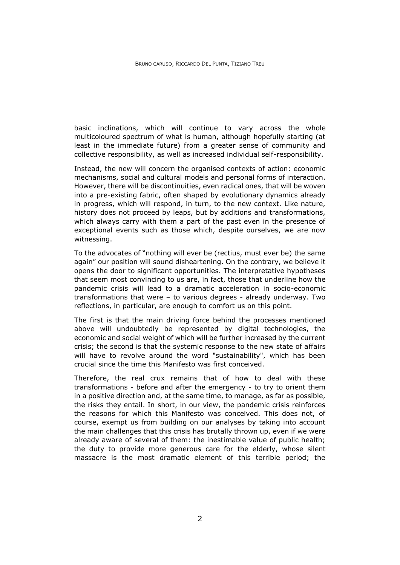basic inclinations, which will continue to vary across the whole multicoloured spectrum of what is human, although hopefully starting (at least in the immediate future) from a greater sense of community and collective responsibility, as well as increased individual self-responsibility.

Instead, the new will concern the organised contexts of action: economic mechanisms, social and cultural models and personal forms of interaction. However, there will be discontinuities, even radical ones, that will be woven into a pre-existing fabric, often shaped by evolutionary dynamics already in progress, which will respond, in turn, to the new context. Like nature, history does not proceed by leaps, but by additions and transformations, which always carry with them a part of the past even in the presence of exceptional events such as those which, despite ourselves, we are now witnessing.

To the advocates of "nothing will ever be (rectius, must ever be) the same again" our position will sound disheartening. On the contrary, we believe it opens the door to significant opportunities. The interpretative hypotheses that seem most convincing to us are, in fact, those that underline how the pandemic crisis will lead to a dramatic acceleration in socio-economic transformations that were – to various degrees - already underway. Two reflections, in particular, are enough to comfort us on this point.

The first is that the main driving force behind the processes mentioned above will undoubtedly be represented by digital technologies, the economic and social weight of which will be further increased by the current crisis; the second is that the systemic response to the new state of affairs will have to revolve around the word "sustainability", which has been crucial since the time this Manifesto was first conceived.

Therefore, the real crux remains that of how to deal with these transformations - before and after the emergency - to try to orient them in a positive direction and, at the same time, to manage, as far as possible, the risks they entail. In short, in our view, the pandemic crisis reinforces the reasons for which this Manifesto was conceived. This does not, of course, exempt us from building on our analyses by taking into account the main challenges that this crisis has brutally thrown up, even if we were already aware of several of them: the inestimable value of public health; the duty to provide more generous care for the elderly, whose silent massacre is the most dramatic element of this terrible period; the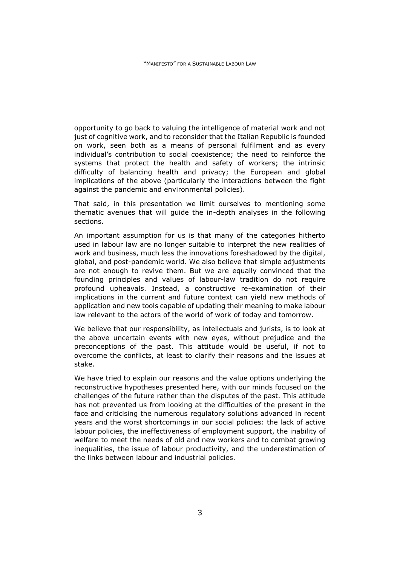opportunity to go back to valuing the intelligence of material work and not just of cognitive work, and to reconsider that the Italian Republic is founded on work, seen both as a means of personal fulfilment and as every individual's contribution to social coexistence; the need to reinforce the systems that protect the health and safety of workers; the intrinsic difficulty of balancing health and privacy; the European and global implications of the above (particularly the interactions between the fight against the pandemic and environmental policies).

That said, in this presentation we limit ourselves to mentioning some thematic avenues that will guide the in-depth analyses in the following sections.

An important assumption for us is that many of the categories hitherto used in labour law are no longer suitable to interpret the new realities of work and business, much less the innovations foreshadowed by the digital, global, and post-pandemic world. We also believe that simple adjustments are not enough to revive them. But we are equally convinced that the founding principles and values of labour-law tradition do not require profound upheavals. Instead, a constructive re-examination of their implications in the current and future context can yield new methods of application and new tools capable of updating their meaning to make labour law relevant to the actors of the world of work of today and tomorrow.

We believe that our responsibility, as intellectuals and jurists, is to look at the above uncertain events with new eyes, without prejudice and the preconceptions of the past. This attitude would be useful, if not to overcome the conflicts, at least to clarify their reasons and the issues at stake.

We have tried to explain our reasons and the value options underlying the reconstructive hypotheses presented here, with our minds focused on the challenges of the future rather than the disputes of the past. This attitude has not prevented us from looking at the difficulties of the present in the face and criticising the numerous regulatory solutions advanced in recent years and the worst shortcomings in our social policies: the lack of active labour policies, the ineffectiveness of employment support, the inability of welfare to meet the needs of old and new workers and to combat growing inequalities, the issue of labour productivity, and the underestimation of the links between labour and industrial policies.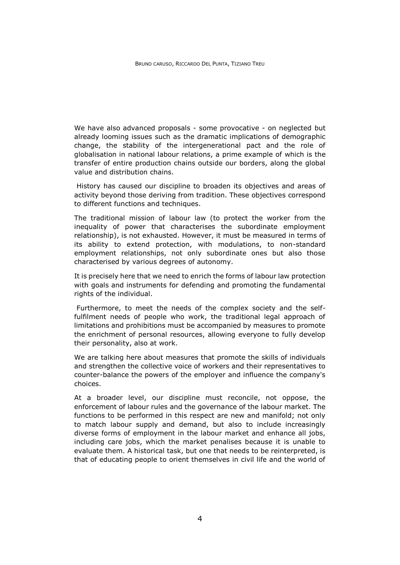We have also advanced proposals - some provocative - on neglected but already looming issues such as the dramatic implications of demographic change, the stability of the intergenerational pact and the role of globalisation in national labour relations, a prime example of which is the transfer of entire production chains outside our borders, along the global value and distribution chains.

History has caused our discipline to broaden its objectives and areas of activity beyond those deriving from tradition. These objectives correspond to different functions and techniques.

The traditional mission of labour law (to protect the worker from the inequality of power that characterises the subordinate employment relationship), is not exhausted. However, it must be measured in terms of its ability to extend protection, with modulations, to non-standard employment relationships, not only subordinate ones but also those characterised by various degrees of autonomy.

It is precisely here that we need to enrich the forms of labour law protection with goals and instruments for defending and promoting the fundamental rights of the individual.

Furthermore, to meet the needs of the complex society and the selffulfilment needs of people who work, the traditional legal approach of limitations and prohibitions must be accompanied by measures to promote the enrichment of personal resources, allowing everyone to fully develop their personality, also at work.

We are talking here about measures that promote the skills of individuals and strengthen the collective voice of workers and their representatives to counter-balance the powers of the employer and influence the company's choices.

At a broader level, our discipline must reconcile, not oppose, the enforcement of labour rules and the governance of the labour market. The functions to be performed in this respect are new and manifold; not only to match labour supply and demand, but also to include increasingly diverse forms of employment in the labour market and enhance all jobs, including care jobs, which the market penalises because it is unable to evaluate them. A historical task, but one that needs to be reinterpreted, is that of educating people to orient themselves in civil life and the world of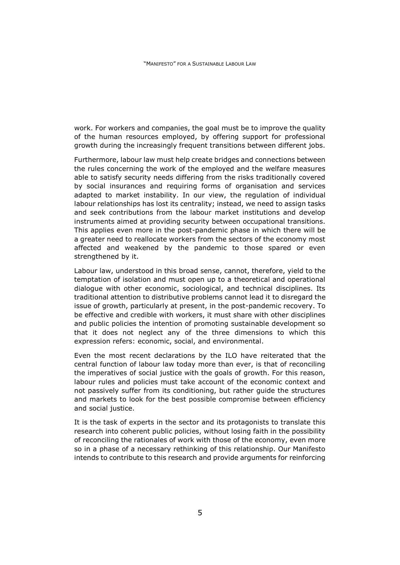work. For workers and companies, the goal must be to improve the quality of the human resources employed, by offering support for professional growth during the increasingly frequent transitions between different jobs.

Furthermore, labour law must help create bridges and connections between the rules concerning the work of the employed and the welfare measures able to satisfy security needs differing from the risks traditionally covered by social insurances and requiring forms of organisation and services adapted to market instability. In our view, the regulation of individual labour relationships has lost its centrality; instead, we need to assign tasks and seek contributions from the labour market institutions and develop instruments aimed at providing security between occupational transitions. This applies even more in the post-pandemic phase in which there will be a greater need to reallocate workers from the sectors of the economy most affected and weakened by the pandemic to those spared or even strengthened by it.

Labour law, understood in this broad sense, cannot, therefore, yield to the temptation of isolation and must open up to a theoretical and operational dialogue with other economic, sociological, and technical disciplines. Its traditional attention to distributive problems cannot lead it to disregard the issue of growth, particularly at present, in the post-pandemic recovery. To be effective and credible with workers, it must share with other disciplines and public policies the intention of promoting sustainable development so that it does not neglect any of the three dimensions to which this expression refers: economic, social, and environmental.

Even the most recent declarations by the ILO have reiterated that the central function of labour law today more than ever, is that of reconciling the imperatives of social justice with the goals of growth. For this reason, labour rules and policies must take account of the economic context and not passively suffer from its conditioning, but rather guide the structures and markets to look for the best possible compromise between efficiency and social justice.

It is the task of experts in the sector and its protagonists to translate this research into coherent public policies, without losing faith in the possibility of reconciling the rationales of work with those of the economy, even more so in a phase of a necessary rethinking of this relationship. Our Manifesto intends to contribute to this research and provide arguments for reinforcing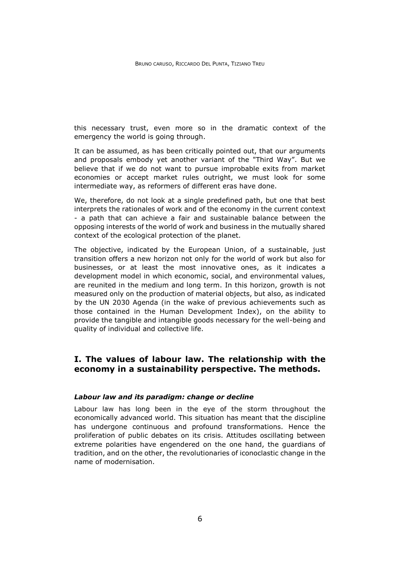this necessary trust, even more so in the dramatic context of the emergency the world is going through.

It can be assumed, as has been critically pointed out, that our arguments and proposals embody yet another variant of the "Third Way". But we believe that if we do not want to pursue improbable exits from market economies or accept market rules outright, we must look for some intermediate way, as reformers of different eras have done.

We, therefore, do not look at a single predefined path, but one that best interprets the rationales of work and of the economy in the current context - a path that can achieve a fair and sustainable balance between the opposing interests of the world of work and business in the mutually shared context of the ecological protection of the planet.

The objective, indicated by the European Union, of a sustainable, just transition offers a new horizon not only for the world of work but also for businesses, or at least the most innovative ones, as it indicates a development model in which economic, social, and environmental values, are reunited in the medium and long term. In this horizon, growth is not measured only on the production of material objects, but also, as indicated by the UN 2030 Agenda (in the wake of previous achievements such as those contained in the Human Development Index), on the ability to provide the tangible and intangible goods necessary for the well-being and quality of individual and collective life.

# <span id="page-10-0"></span>**I. The values of labour law. The relationship with the economy in a sustainability perspective. The methods.**

#### *Labour law and its paradigm: change or decline*

Labour law has long been in the eye of the storm throughout the economically advanced world. This situation has meant that the discipline has undergone continuous and profound transformations. Hence the proliferation of public debates on its crisis. Attitudes oscillating between extreme polarities have engendered on the one hand, the guardians of tradition, and on the other, the revolutionaries of iconoclastic change in the name of modernisation.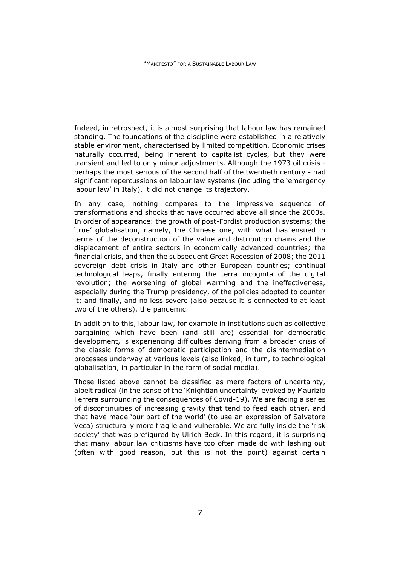Indeed, in retrospect, it is almost surprising that labour law has remained standing. The foundations of the discipline were established in a relatively stable environment, characterised by limited competition. Economic crises naturally occurred, being inherent to capitalist cycles, but they were transient and led to only minor adjustments. Although the 1973 oil crisis perhaps the most serious of the second half of the twentieth century - had significant repercussions on labour law systems (including the 'emergency labour law' in Italy), it did not change its trajectory.

In any case, nothing compares to the impressive sequence of transformations and shocks that have occurred above all since the 2000s. In order of appearance: the growth of post-Fordist production systems; the 'true' globalisation, namely, the Chinese one, with what has ensued in terms of the deconstruction of the value and distribution chains and the displacement of entire sectors in economically advanced countries; the financial crisis, and then the subsequent Great Recession of 2008; the 2011 sovereign debt crisis in Italy and other European countries; continual technological leaps, finally entering the terra incognita of the digital revolution; the worsening of global warming and the ineffectiveness, especially during the Trump presidency, of the policies adopted to counter it; and finally, and no less severe (also because it is connected to at least two of the others), the pandemic.

In addition to this, labour law, for example in institutions such as collective bargaining which have been (and still are) essential for democratic development, is experiencing difficulties deriving from a broader crisis of the classic forms of democratic participation and the disintermediation processes underway at various levels (also linked, in turn, to technological globalisation, in particular in the form of social media).

Those listed above cannot be classified as mere factors of uncertainty, albeit radical (in the sense of the 'Knightian uncertainty' evoked by Maurizio Ferrera surrounding the consequences of Covid-19). We are facing a series of discontinuities of increasing gravity that tend to feed each other, and that have made 'our part of the world' (to use an expression of Salvatore Veca) structurally more fragile and vulnerable. We are fully inside the 'risk society' that was prefigured by Ulrich Beck. In this regard, it is surprising that many labour law criticisms have too often made do with lashing out (often with good reason, but this is not the point) against certain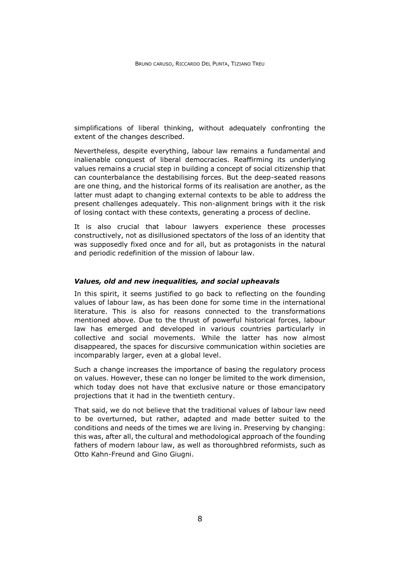simplifications of liberal thinking, without adequately confronting the extent of the changes described.

Nevertheless, despite everything, labour law remains a fundamental and inalienable conquest of liberal democracies. Reaffirming its underlying values remains a crucial step in building a concept of social citizenship that can counterbalance the destabilising forces. But the deep-seated reasons are one thing, and the historical forms of its realisation are another, as the latter must adapt to changing external contexts to be able to address the present challenges adequately. This non-alignment brings with it the risk of losing contact with these contexts, generating a process of decline.

It is also crucial that labour lawyers experience these processes constructively, not as disillusioned spectators of the loss of an identity that was supposedly fixed once and for all, but as protagonists in the natural and periodic redefinition of the mission of labour law.

#### *Values, old and new inequalities, and social upheavals*

In this spirit, it seems justified to go back to reflecting on the founding values of labour law, as has been done for some time in the international literature. This is also for reasons connected to the transformations mentioned above. Due to the thrust of powerful historical forces, labour law has emerged and developed in various countries particularly in collective and social movements. While the latter has now almost disappeared, the spaces for discursive communication within societies are incomparably larger, even at a global level.

Such a change increases the importance of basing the regulatory process on values. However, these can no longer be limited to the work dimension, which today does not have that exclusive nature or those emancipatory projections that it had in the twentieth century.

That said, we do not believe that the traditional values of labour law need to be overturned, but rather, adapted and made better suited to the conditions and needs of the times we are living in. Preserving by changing: this was, after all, the cultural and methodological approach of the founding fathers of modern labour law, as well as thoroughbred reformists, such as Otto Kahn-Freund and Gino Giugni.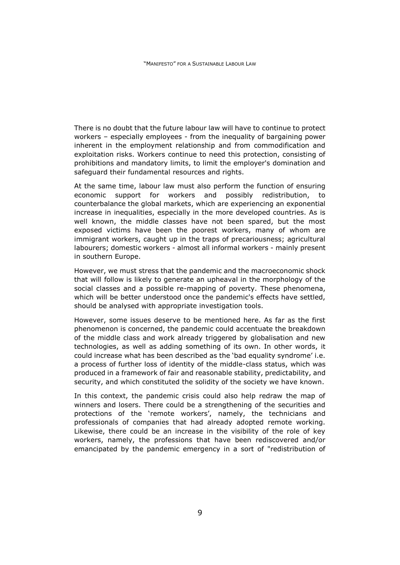There is no doubt that the future labour law will have to continue to protect workers – especially employees - from the inequality of bargaining power inherent in the employment relationship and from commodification and exploitation risks. Workers continue to need this protection, consisting of prohibitions and mandatory limits, to limit the employer's domination and safeguard their fundamental resources and rights.

At the same time, labour law must also perform the function of ensuring economic support for workers and possibly redistribution, to counterbalance the global markets, which are experiencing an exponential increase in inequalities, especially in the more developed countries. As is well known, the middle classes have not been spared, but the most exposed victims have been the poorest workers, many of whom are immigrant workers, caught up in the traps of precariousness; agricultural labourers; domestic workers - almost all informal workers - mainly present in southern Europe.

However, we must stress that the pandemic and the macroeconomic shock that will follow is likely to generate an upheaval in the morphology of the social classes and a possible re-mapping of poverty. These phenomena, which will be better understood once the pandemic's effects have settled, should be analysed with appropriate investigation tools.

However, some issues deserve to be mentioned here. As far as the first phenomenon is concerned, the pandemic could accentuate the breakdown of the middle class and work already triggered by globalisation and new technologies, as well as adding something of its own. In other words, it could increase what has been described as the 'bad equality syndrome' i.e. a process of further loss of identity of the middle-class status, which was produced in a framework of fair and reasonable stability, predictability, and security, and which constituted the solidity of the society we have known.

In this context, the pandemic crisis could also help redraw the map of winners and losers. There could be a strengthening of the securities and protections of the 'remote workers', namely, the technicians and professionals of companies that had already adopted remote working. Likewise, there could be an increase in the visibility of the role of key workers, namely, the professions that have been rediscovered and/or emancipated by the pandemic emergency in a sort of "redistribution of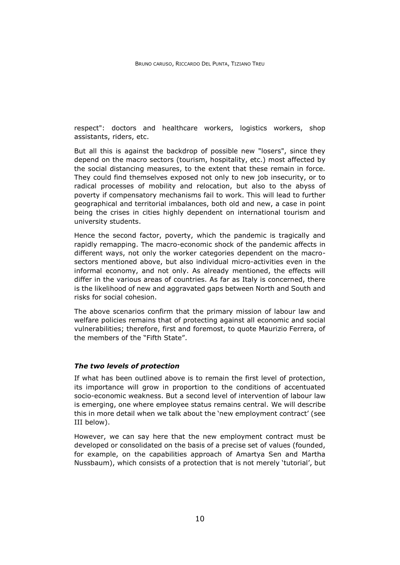respect": doctors and healthcare workers, logistics workers, shop assistants, riders, etc.

But all this is against the backdrop of possible new "losers", since they depend on the macro sectors (tourism, hospitality, etc.) most affected by the social distancing measures, to the extent that these remain in force. They could find themselves exposed not only to new job insecurity, or to radical processes of mobility and relocation, but also to the abyss of poverty if compensatory mechanisms fail to work. This will lead to further geographical and territorial imbalances, both old and new, a case in point being the crises in cities highly dependent on international tourism and university students.

Hence the second factor, poverty, which the pandemic is tragically and rapidly remapping. The macro-economic shock of the pandemic affects in different ways, not only the worker categories dependent on the macrosectors mentioned above, but also individual micro-activities even in the informal economy, and not only. As already mentioned, the effects will differ in the various areas of countries. As far as Italy is concerned, there is the likelihood of new and aggravated gaps between North and South and risks for social cohesion.

The above scenarios confirm that the primary mission of labour law and welfare policies remains that of protecting against all economic and social vulnerabilities; therefore, first and foremost, to quote Maurizio Ferrera, of the members of the "Fifth State".

#### *The two levels of protection*

If what has been outlined above is to remain the first level of protection, its importance will grow in proportion to the conditions of accentuated socio-economic weakness. But a second level of intervention of labour law is emerging, one where employee status remains central. We will describe this in more detail when we talk about the 'new employment contract' (see III below).

However, we can say here that the new employment contract must be developed or consolidated on the basis of a precise set of values (founded, for example, on the capabilities approach of Amartya Sen and Martha Nussbaum), which consists of a protection that is not merely 'tutorial', but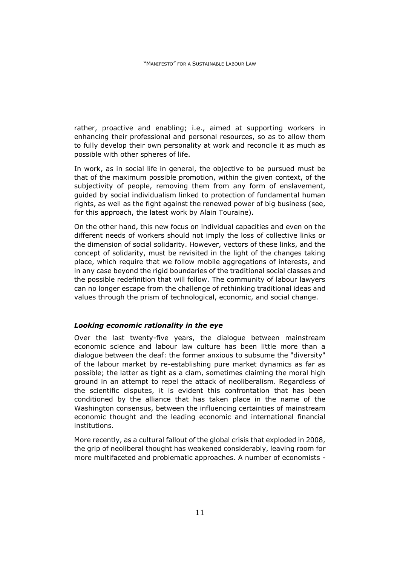rather, proactive and enabling; i.e., aimed at supporting workers in enhancing their professional and personal resources, so as to allow them to fully develop their own personality at work and reconcile it as much as possible with other spheres of life.

In work, as in social life in general, the objective to be pursued must be that of the maximum possible promotion, within the given context, of the subjectivity of people, removing them from any form of enslavement, guided by social individualism linked to protection of fundamental human rights, as well as the fight against the renewed power of big business (see, for this approach, the latest work by Alain Touraine).

On the other hand, this new focus on individual capacities and even on the different needs of workers should not imply the loss of collective links or the dimension of social solidarity. However, vectors of these links, and the concept of solidarity, must be revisited in the light of the changes taking place, which require that we follow mobile aggregations of interests, and in any case beyond the rigid boundaries of the traditional social classes and the possible redefinition that will follow. The community of labour lawyers can no longer escape from the challenge of rethinking traditional ideas and values through the prism of technological, economic, and social change.

#### *Looking economic rationality in the eye*

Over the last twenty-five years, the dialogue between mainstream economic science and labour law culture has been little more than a dialogue between the deaf: the former anxious to subsume the "diversity" of the labour market by re-establishing pure market dynamics as far as possible; the latter as tight as a clam, sometimes claiming the moral high ground in an attempt to repel the attack of neoliberalism. Regardless of the scientific disputes, it is evident this confrontation that has been conditioned by the alliance that has taken place in the name of the Washington consensus, between the influencing certainties of mainstream economic thought and the leading economic and international financial institutions.

More recently, as a cultural fallout of the global crisis that exploded in 2008, the grip of neoliberal thought has weakened considerably, leaving room for more multifaceted and problematic approaches. A number of economists -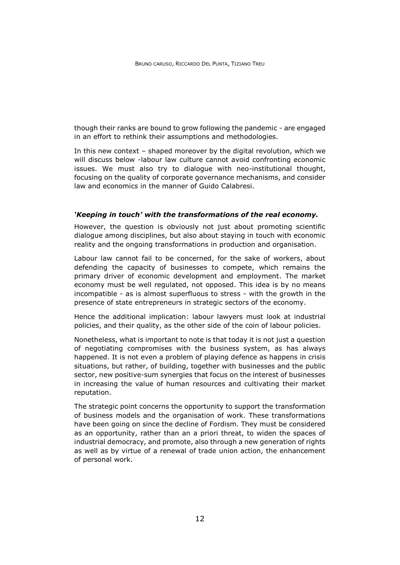though their ranks are bound to grow following the pandemic - are engaged in an effort to rethink their assumptions and methodologies.

In this new context – shaped moreover by the digital revolution, which we will discuss below -labour law culture cannot avoid confronting economic issues. We must also try to dialogue with neo-institutional thought, focusing on the quality of corporate governance mechanisms, and consider law and economics in the manner of Guido Calabresi.

#### *'Keeping in touch' with the transformations of the real economy.*

However, the question is obviously not just about promoting scientific dialogue among disciplines, but also about staying in touch with economic reality and the ongoing transformations in production and organisation.

Labour law cannot fail to be concerned, for the sake of workers, about defending the capacity of businesses to compete, which remains the primary driver of economic development and employment. The market economy must be well regulated, not opposed. This idea is by no means incompatible - as is almost superfluous to stress - with the growth in the presence of state entrepreneurs in strategic sectors of the economy.

Hence the additional implication: labour lawyers must look at industrial policies, and their quality, as the other side of the coin of labour policies.

Nonetheless, what is important to note is that today it is not just a question of negotiating compromises with the business system, as has always happened. It is not even a problem of playing defence as happens in crisis situations, but rather, of building, together with businesses and the public sector, new positive-sum synergies that focus on the interest of businesses in increasing the value of human resources and cultivating their market reputation.

The strategic point concerns the opportunity to support the transformation of business models and the organisation of work. These transformations have been going on since the decline of Fordism. They must be considered as an opportunity, rather than an a priori threat, to widen the spaces of industrial democracy, and promote, also through a new generation of rights as well as by virtue of a renewal of trade union action, the enhancement of personal work.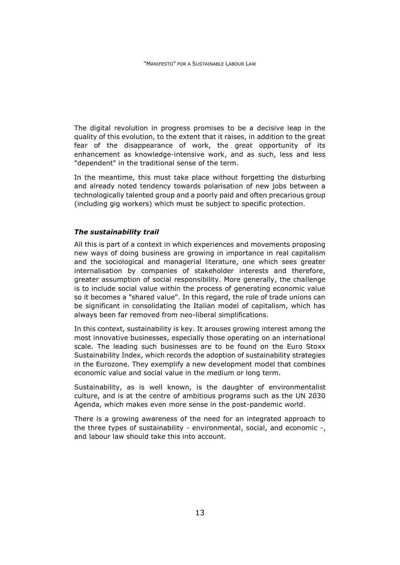The digital revolution in progress promises to be a decisive leap in the quality of this evolution, to the extent that it raises, in addition to the great fear of the disappearance of work, the great opportunity of its enhancement as knowledge-intensive work, and as such, less and less "dependent" in the traditional sense of the term.

In the meantime, this must take place without forgetting the disturbing and already noted tendency towards polarisation of new jobs between a technologically talented group and a poorly paid and often precarious group (including gig workers) which must be subject to specific protection.

## *The sustainability trail*

All this is part of a context in which experiences and movements proposing new ways of doing business are growing in importance in real capitalism and the sociological and managerial literature, one which sees greater internalisation by companies of stakeholder interests and therefore, greater assumption of social responsibility. More generally, the challenge is to include social value within the process of generating economic value so it becomes a "shared value". In this regard, the role of trade unions can be significant in consolidating the Italian model of capitalism, which has always been far removed from neo-liberal simplifications.

In this context, sustainability is key. It arouses growing interest among the most innovative businesses, especially those operating on an international scale. The leading such businesses are to be found on the Euro Stoxx Sustainability Index, which records the adoption of sustainability strategies in the Eurozone. They exemplify a new development model that combines economic value and social value in the medium or long term.

Sustainability, as is well known, is the daughter of environmentalist culture, and is at the centre of ambitious programs such as the UN 2030 Agenda, which makes even more sense in the post-pandemic world.

There is a growing awareness of the need for an integrated approach to the three types of sustainability - environmental, social, and economic -, and labour law should take this into account.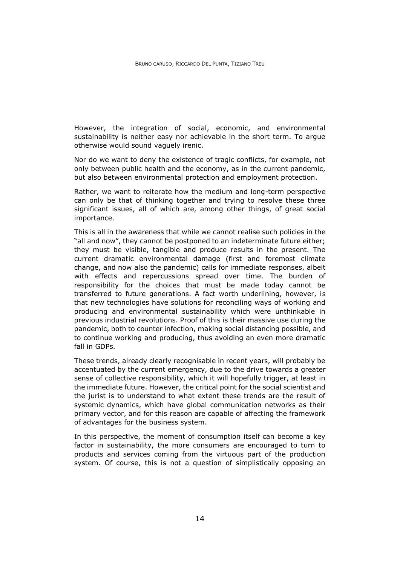However, the integration of social, economic, and environmental sustainability is neither easy nor achievable in the short term. To argue otherwise would sound vaguely irenic.

Nor do we want to deny the existence of tragic conflicts, for example, not only between public health and the economy, as in the current pandemic, but also between environmental protection and employment protection.

Rather, we want to reiterate how the medium and long-term perspective can only be that of thinking together and trying to resolve these three significant issues, all of which are, among other things, of great social importance.

This is all in the awareness that while we cannot realise such policies in the "all and now", they cannot be postponed to an indeterminate future either; they must be visible, tangible and produce results in the present. The current dramatic environmental damage (first and foremost climate change, and now also the pandemic) calls for immediate responses, albeit with effects and repercussions spread over time. The burden of responsibility for the choices that must be made today cannot be transferred to future generations. A fact worth underlining, however, is that new technologies have solutions for reconciling ways of working and producing and environmental sustainability which were unthinkable in previous industrial revolutions. Proof of this is their massive use during the pandemic, both to counter infection, making social distancing possible, and to continue working and producing, thus avoiding an even more dramatic fall in GDPs.

These trends, already clearly recognisable in recent years, will probably be accentuated by the current emergency, due to the drive towards a greater sense of collective responsibility, which it will hopefully trigger, at least in the immediate future. However, the critical point for the social scientist and the jurist is to understand to what extent these trends are the result of systemic dynamics, which have global communication networks as their primary vector, and for this reason are capable of affecting the framework of advantages for the business system.

In this perspective, the moment of consumption itself can become a key factor in sustainability, the more consumers are encouraged to turn to products and services coming from the virtuous part of the production system. Of course, this is not a question of simplistically opposing an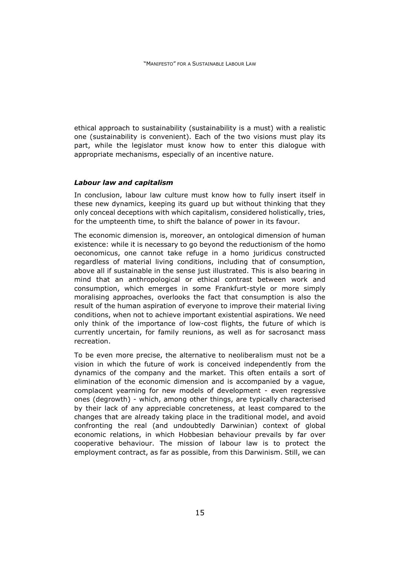ethical approach to sustainability (sustainability is a must) with a realistic one (sustainability is convenient). Each of the two visions must play its part, while the legislator must know how to enter this dialogue with appropriate mechanisms, especially of an incentive nature.

#### *Labour law and capitalism*

In conclusion, labour law culture must know how to fully insert itself in these new dynamics, keeping its guard up but without thinking that they only conceal deceptions with which capitalism, considered holistically, tries, for the umpteenth time, to shift the balance of power in its favour.

The economic dimension is, moreover, an ontological dimension of human existence: while it is necessary to go beyond the reductionism of the homo oeconomicus, one cannot take refuge in a homo juridicus constructed regardless of material living conditions, including that of consumption, above all if sustainable in the sense just illustrated. This is also bearing in mind that an anthropological or ethical contrast between work and consumption, which emerges in some Frankfurt-style or more simply moralising approaches, overlooks the fact that consumption is also the result of the human aspiration of everyone to improve their material living conditions, when not to achieve important existential aspirations. We need only think of the importance of low-cost flights, the future of which is currently uncertain, for family reunions, as well as for sacrosanct mass recreation.

To be even more precise, the alternative to neoliberalism must not be a vision in which the future of work is conceived independently from the dynamics of the company and the market. This often entails a sort of elimination of the economic dimension and is accompanied by a vague, complacent yearning for new models of development - even regressive ones (degrowth) - which, among other things, are typically characterised by their lack of any appreciable concreteness, at least compared to the changes that are already taking place in the traditional model, and avoid confronting the real (and undoubtedly Darwinian) context of global economic relations, in which Hobbesian behaviour prevails by far over cooperative behaviour. The mission of labour law is to protect the employment contract, as far as possible, from this Darwinism. Still, we can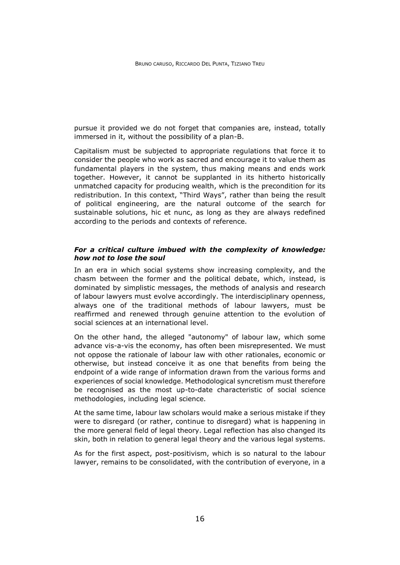pursue it provided we do not forget that companies are, instead, totally immersed in it, without the possibility of a plan-B.

Capitalism must be subjected to appropriate regulations that force it to consider the people who work as sacred and encourage it to value them as fundamental players in the system, thus making means and ends work together. However, it cannot be supplanted in its hitherto historically unmatched capacity for producing wealth, which is the precondition for its redistribution. In this context, "Third Ways", rather than being the result of political engineering, are the natural outcome of the search for sustainable solutions, hic et nunc, as long as they are always redefined according to the periods and contexts of reference.

#### *For a critical culture imbued with the complexity of knowledge: how not to lose the soul*

In an era in which social systems show increasing complexity, and the chasm between the former and the political debate, which, instead, is dominated by simplistic messages, the methods of analysis and research of labour lawyers must evolve accordingly. The interdisciplinary openness, always one of the traditional methods of labour lawyers, must be reaffirmed and renewed through genuine attention to the evolution of social sciences at an international level.

On the other hand, the alleged "autonomy" of labour law, which some advance vis-a-vis the economy, has often been misrepresented. We must not oppose the rationale of labour law with other rationales, economic or otherwise, but instead conceive it as one that benefits from being the endpoint of a wide range of information drawn from the various forms and experiences of social knowledge. Methodological syncretism must therefore be recognised as the most up-to-date characteristic of social science methodologies, including legal science.

At the same time, labour law scholars would make a serious mistake if they were to disregard (or rather, continue to disregard) what is happening in the more general field of legal theory. Legal reflection has also changed its skin, both in relation to general legal theory and the various legal systems.

As for the first aspect, post-positivism, which is so natural to the labour lawyer, remains to be consolidated, with the contribution of everyone, in a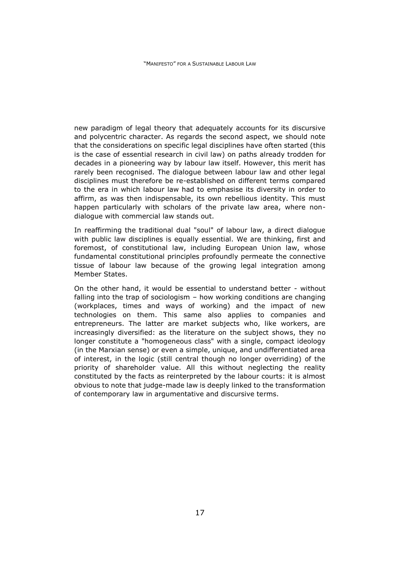new paradigm of legal theory that adequately accounts for its discursive and polycentric character. As regards the second aspect, we should note that the considerations on specific legal disciplines have often started (this is the case of essential research in civil law) on paths already trodden for decades in a pioneering way by labour law itself. However, this merit has rarely been recognised. The dialogue between labour law and other legal disciplines must therefore be re-established on different terms compared to the era in which labour law had to emphasise its diversity in order to affirm, as was then indispensable, its own rebellious identity. This must happen particularly with scholars of the private law area, where nondialogue with commercial law stands out.

In reaffirming the traditional dual "soul" of labour law, a direct dialogue with public law disciplines is equally essential. We are thinking, first and foremost, of constitutional law, including European Union law, whose fundamental constitutional principles profoundly permeate the connective tissue of labour law because of the growing legal integration among Member States.

On the other hand, it would be essential to understand better - without falling into the trap of sociologism – how working conditions are changing (workplaces, times and ways of working) and the impact of new technologies on them. This same also applies to companies and entrepreneurs. The latter are market subjects who, like workers, are increasingly diversified: as the literature on the subject shows, they no longer constitute a "homogeneous class" with a single, compact ideology (in the Marxian sense) or even a simple, unique, and undifferentiated area of interest, in the logic (still central though no longer overriding) of the priority of shareholder value. All this without neglecting the reality constituted by the facts as reinterpreted by the labour courts: it is almost obvious to note that judge-made law is deeply linked to the transformation of contemporary law in argumentative and discursive terms.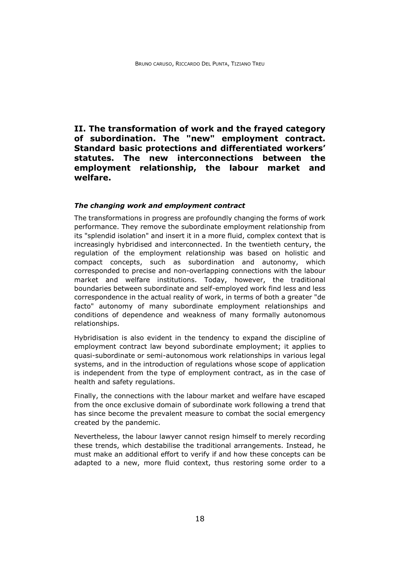<span id="page-22-0"></span>**II. The transformation of work and the frayed category of subordination. The "new" employment contract. Standard basic protections and differentiated workers' statutes. The new interconnections between the employment relationship, the labour market and welfare.**

#### *The changing work and employment contract*

The transformations in progress are profoundly changing the forms of work performance. They remove the subordinate employment relationship from its "splendid isolation" and insert it in a more fluid, complex context that is increasingly hybridised and interconnected. In the twentieth century, the regulation of the employment relationship was based on holistic and compact concepts, such as subordination and autonomy, which corresponded to precise and non-overlapping connections with the labour market and welfare institutions. Today, however, the traditional boundaries between subordinate and self-employed work find less and less correspondence in the actual reality of work, in terms of both a greater "de facto" autonomy of many subordinate employment relationships and conditions of dependence and weakness of many formally autonomous relationships.

Hybridisation is also evident in the tendency to expand the discipline of employment contract law beyond subordinate employment; it applies to quasi-subordinate or semi-autonomous work relationships in various legal systems, and in the introduction of regulations whose scope of application is independent from the type of employment contract, as in the case of health and safety regulations.

Finally, the connections with the labour market and welfare have escaped from the once exclusive domain of subordinate work following a trend that has since become the prevalent measure to combat the social emergency created by the pandemic.

Nevertheless, the labour lawyer cannot resign himself to merely recording these trends, which destabilise the traditional arrangements. Instead, he must make an additional effort to verify if and how these concepts can be adapted to a new, more fluid context, thus restoring some order to a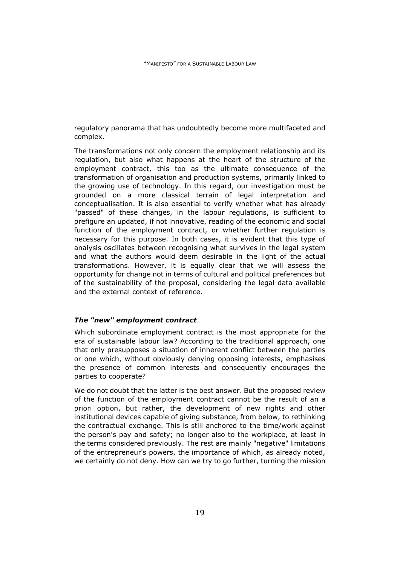regulatory panorama that has undoubtedly become more multifaceted and complex.

The transformations not only concern the employment relationship and its regulation, but also what happens at the heart of the structure of the employment contract, this too as the ultimate consequence of the transformation of organisation and production systems, primarily linked to the growing use of technology. In this regard, our investigation must be grounded on a more classical terrain of legal interpretation and conceptualisation. It is also essential to verify whether what has already "passed" of these changes, in the labour regulations, is sufficient to prefigure an updated, if not innovative, reading of the economic and social function of the employment contract, or whether further regulation is necessary for this purpose. In both cases, it is evident that this type of analysis oscillates between recognising what survives in the legal system and what the authors would deem desirable in the light of the actual transformations. However, it is equally clear that we will assess the opportunity for change not in terms of cultural and political preferences but of the sustainability of the proposal, considering the legal data available and the external context of reference.

#### *The "new" employment contract*

Which subordinate employment contract is the most appropriate for the era of sustainable labour law? According to the traditional approach, one that only presupposes a situation of inherent conflict between the parties or one which, without obviously denying opposing interests, emphasises the presence of common interests and consequently encourages the parties to cooperate?

We do not doubt that the latter is the best answer. But the proposed review of the function of the employment contract cannot be the result of an a priori option, but rather, the development of new rights and other institutional devices capable of giving substance, from below, to rethinking the contractual exchange. This is still anchored to the time/work against the person's pay and safety; no longer also to the workplace, at least in the terms considered previously. The rest are mainly "negative" limitations of the entrepreneur's powers, the importance of which, as already noted, we certainly do not deny. How can we try to go further, turning the mission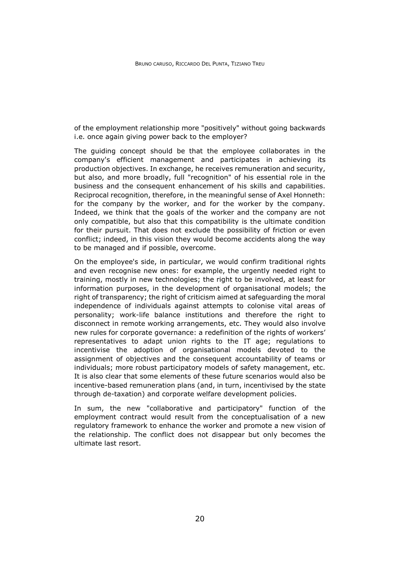of the employment relationship more "positively" without going backwards i.e. once again giving power back to the employer?

The guiding concept should be that the employee collaborates in the company's efficient management and participates in achieving its production objectives. In exchange, he receives remuneration and security, but also, and more broadly, full "recognition" of his essential role in the business and the consequent enhancement of his skills and capabilities. Reciprocal recognition, therefore, in the meaningful sense of Axel Honneth: for the company by the worker, and for the worker by the company. Indeed, we think that the goals of the worker and the company are not only compatible, but also that this compatibility is the ultimate condition for their pursuit. That does not exclude the possibility of friction or even conflict; indeed, in this vision they would become accidents along the way to be managed and if possible, overcome.

On the employee's side, in particular, we would confirm traditional rights and even recognise new ones: for example, the urgently needed right to training, mostly in new technologies; the right to be involved, at least for information purposes, in the development of organisational models; the right of transparency; the right of criticism aimed at safeguarding the moral independence of individuals against attempts to colonise vital areas of personality; work-life balance institutions and therefore the right to disconnect in remote working arrangements, etc. They would also involve new rules for corporate governance: a redefinition of the rights of workers' representatives to adapt union rights to the IT age; regulations to incentivise the adoption of organisational models devoted to the assignment of objectives and the consequent accountability of teams or individuals; more robust participatory models of safety management, etc. It is also clear that some elements of these future scenarios would also be incentive-based remuneration plans (and, in turn, incentivised by the state through de-taxation) and corporate welfare development policies.

In sum, the new "collaborative and participatory" function of the employment contract would result from the conceptualisation of a new regulatory framework to enhance the worker and promote a new vision of the relationship. The conflict does not disappear but only becomes the ultimate last resort.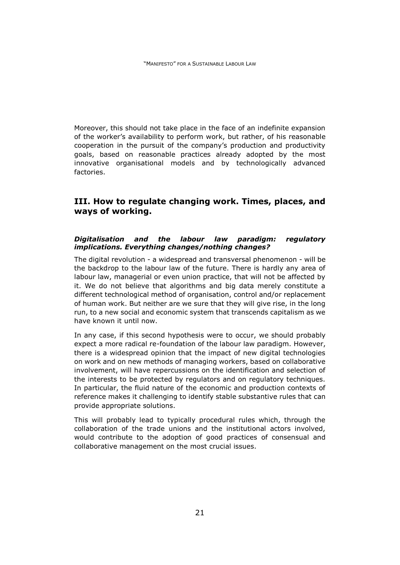Moreover, this should not take place in the face of an indefinite expansion of the worker's availability to perform work, but rather, of his reasonable cooperation in the pursuit of the company's production and productivity goals, based on reasonable practices already adopted by the most innovative organisational models and by technologically advanced factories.

# <span id="page-25-0"></span>**III. How to regulate changing work. Times, places, and ways of working.**

## *Digitalisation and the labour law paradigm: regulatory implications. Everything changes/nothing changes?*

The digital revolution - a widespread and transversal phenomenon - will be the backdrop to the labour law of the future. There is hardly any area of labour law, managerial or even union practice, that will not be affected by it. We do not believe that algorithms and big data merely constitute a different technological method of organisation, control and/or replacement of human work. But neither are we sure that they will give rise, in the long run, to a new social and economic system that transcends capitalism as we have known it until now.

In any case, if this second hypothesis were to occur, we should probably expect a more radical re-foundation of the labour law paradigm. However, there is a widespread opinion that the impact of new digital technologies on work and on new methods of managing workers, based on collaborative involvement, will have repercussions on the identification and selection of the interests to be protected by regulators and on regulatory techniques. In particular, the fluid nature of the economic and production contexts of reference makes it challenging to identify stable substantive rules that can provide appropriate solutions.

This will probably lead to typically procedural rules which, through the collaboration of the trade unions and the institutional actors involved, would contribute to the adoption of good practices of consensual and collaborative management on the most crucial issues.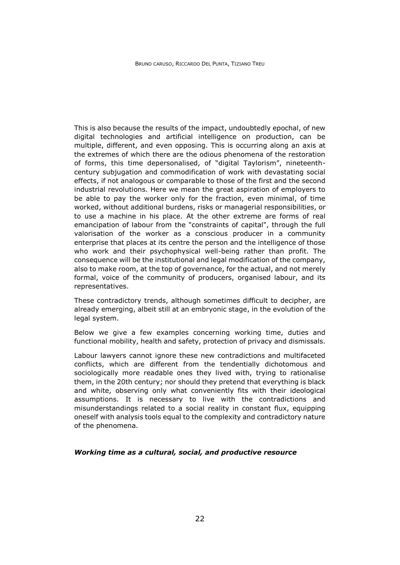This is also because the results of the impact, undoubtedly epochal, of new digital technologies and artificial intelligence on production, can be multiple, different, and even opposing. This is occurring along an axis at the extremes of which there are the odious phenomena of the restoration of forms, this time depersonalised, of "digital Taylorism", nineteenthcentury subjugation and commodification of work with devastating social effects, if not analogous or comparable to those of the first and the second industrial revolutions. Here we mean the great aspiration of employers to be able to pay the worker only for the fraction, even minimal, of time worked, without additional burdens, risks or managerial responsibilities, or to use a machine in his place. At the other extreme are forms of real emancipation of labour from the "constraints of capital", through the full valorisation of the worker as a conscious producer in a community enterprise that places at its centre the person and the intelligence of those who work and their psychophysical well-being rather than profit. The consequence will be the institutional and legal modification of the company, also to make room, at the top of governance, for the actual, and not merely formal, voice of the community of producers, organised labour, and its representatives.

These contradictory trends, although sometimes difficult to decipher, are already emerging, albeit still at an embryonic stage, in the evolution of the legal system.

Below we give a few examples concerning working time, duties and functional mobility, health and safety, protection of privacy and dismissals.

Labour lawyers cannot ignore these new contradictions and multifaceted conflicts, which are different from the tendentially dichotomous and sociologically more readable ones they lived with, trying to rationalise them, in the 20th century; nor should they pretend that everything is black and white, observing only what conveniently fits with their ideological assumptions. It is necessary to live with the contradictions and misunderstandings related to a social reality in constant flux, equipping oneself with analysis tools equal to the complexity and contradictory nature of the phenomena.

#### *Working time as a cultural, social, and productive resource*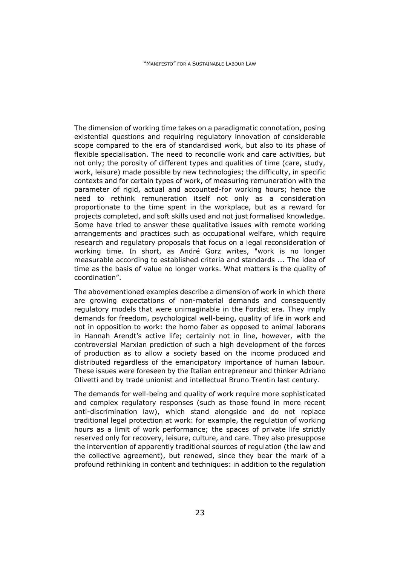The dimension of working time takes on a paradigmatic connotation, posing existential questions and requiring regulatory innovation of considerable scope compared to the era of standardised work, but also to its phase of flexible specialisation. The need to reconcile work and care activities, but not only; the porosity of different types and qualities of time (care, study, work, leisure) made possible by new technologies; the difficulty, in specific contexts and for certain types of work, of measuring remuneration with the parameter of rigid, actual and accounted-for working hours; hence the need to rethink remuneration itself not only as a consideration proportionate to the time spent in the workplace, but as a reward for projects completed, and soft skills used and not just formalised knowledge. Some have tried to answer these qualitative issues with remote working arrangements and practices such as occupational welfare, which require research and regulatory proposals that focus on a legal reconsideration of working time. In short, as André Gorz writes, "work is no longer measurable according to established criteria and standards ... The idea of time as the basis of value no longer works. What matters is the quality of coordination".

The abovementioned examples describe a dimension of work in which there are growing expectations of non-material demands and consequently regulatory models that were unimaginable in the Fordist era. They imply demands for freedom, psychological well-being, quality of life in work and not in opposition to work: the homo faber as opposed to animal laborans in Hannah Arendt's active life; certainly not in line, however, with the controversial Marxian prediction of such a high development of the forces of production as to allow a society based on the income produced and distributed regardless of the emancipatory importance of human labour. These issues were foreseen by the Italian entrepreneur and thinker Adriano Olivetti and by trade unionist and intellectual Bruno Trentin last century.

The demands for well-being and quality of work require more sophisticated and complex regulatory responses (such as those found in more recent anti-discrimination law), which stand alongside and do not replace traditional legal protection at work: for example, the regulation of working hours as a limit of work performance; the spaces of private life strictly reserved only for recovery, leisure, culture, and care. They also presuppose the intervention of apparently traditional sources of regulation (the law and the collective agreement), but renewed, since they bear the mark of a profound rethinking in content and techniques: in addition to the regulation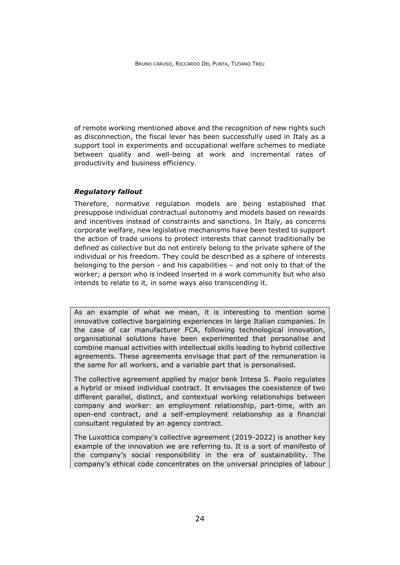of remote working mentioned above and the recognition of new rights such as disconnection, the fiscal lever has been successfully used in Italy as a support tool in experiments and occupational welfare schemes to mediate between quality and well-being at work and incremental rates of productivity and business efficiency.

## *Regulatory fallout*

Therefore, normative regulation models are being established that presuppose individual contractual autonomy and models based on rewards and incentives instead of constraints and sanctions. In Italy, as concerns corporate welfare, new legislative mechanisms have been tested to support the action of trade unions to protect interests that cannot traditionally be defined as collective but do not entirely belong to the private sphere of the individual or his freedom. They could be described as a sphere of interests belonging to the person - and his capabilities – and not only to that of the worker; a person who is indeed inserted in a work community but who also intends to relate to it, in some ways also transcending it.

As an example of what we mean, it is interesting to mention some innovative collective bargaining experiences in large Italian companies. In the case of car manufacturer FCA, following technological innovation, organisational solutions have been experimented that personalise and combine manual activities with intellectual skills leading to hybrid collective agreements. These agreements envisage that part of the remuneration is the same for all workers, and a variable part that is personalised.

The collective agreement applied by major bank Intesa S. Paolo regulates a hybrid or mixed individual contract. It envisages the coexistence of two different parallel, distinct, and contextual working relationships between company and worker: an employment relationship, part-time, with an open-end contract, and a self-employment relationship as a financial consultant regulated by an agency contract.

The Luxottica company's collective agreement (2019-2022) is another key example of the innovation we are referring to. It is a sort of manifesto of the company's social responsibility in the era of sustainability. The company's ethical code concentrates on the universal principles of labour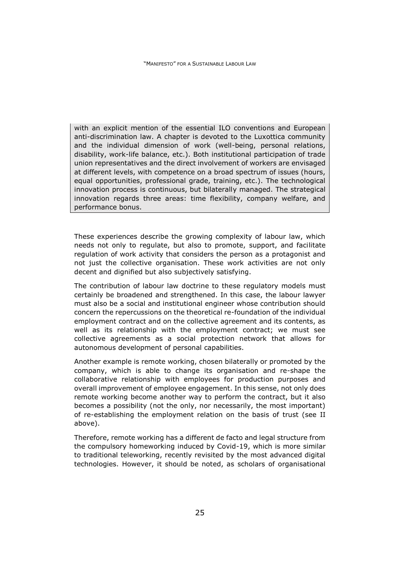with an explicit mention of the essential ILO conventions and European anti-discrimination law. A chapter is devoted to the Luxottica community and the individual dimension of work (well-being, personal relations, disability, work-life balance, etc.). Both institutional participation of trade union representatives and the direct involvement of workers are envisaged at different levels, with competence on a broad spectrum of issues (hours, equal opportunities, professional grade, training, etc.). The technological innovation process is continuous, but bilaterally managed. The strategical innovation regards three areas: time flexibility, company welfare, and performance bonus.

These experiences describe the growing complexity of labour law, which needs not only to regulate, but also to promote, support, and facilitate regulation of work activity that considers the person as a protagonist and not just the collective organisation. These work activities are not only decent and dignified but also subjectively satisfying.

The contribution of labour law doctrine to these regulatory models must certainly be broadened and strengthened. In this case, the labour lawyer must also be a social and institutional engineer whose contribution should concern the repercussions on the theoretical re-foundation of the individual employment contract and on the collective agreement and its contents, as well as its relationship with the employment contract; we must see collective agreements as a social protection network that allows for autonomous development of personal capabilities.

Another example is remote working, chosen bilaterally or promoted by the company, which is able to change its organisation and re-shape the collaborative relationship with employees for production purposes and overall improvement of employee engagement. In this sense, not only does remote working become another way to perform the contract, but it also becomes a possibility (not the only, nor necessarily, the most important) of re-establishing the employment relation on the basis of trust (see II above).

Therefore, remote working has a different de facto and legal structure from the compulsory homeworking induced by Covid-19, which is more similar to traditional teleworking, recently revisited by the most advanced digital technologies. However, it should be noted, as scholars of organisational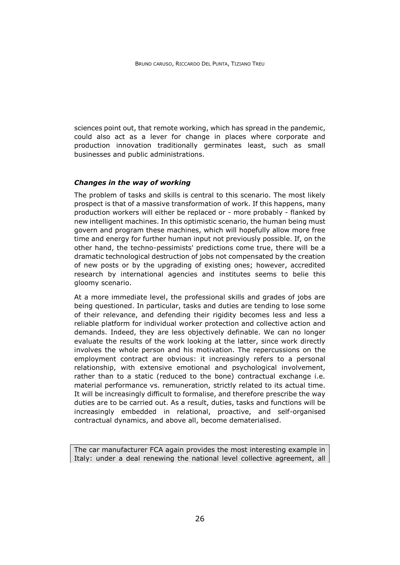sciences point out, that remote working, which has spread in the pandemic, could also act as a lever for change in places where corporate and production innovation traditionally germinates least, such as small businesses and public administrations.

#### *Changes in the way of working*

The problem of tasks and skills is central to this scenario. The most likely prospect is that of a massive transformation of work. If this happens, many production workers will either be replaced or - more probably - flanked by new intelligent machines. In this optimistic scenario, the human being must govern and program these machines, which will hopefully allow more free time and energy for further human input not previously possible. If, on the other hand, the techno-pessimists' predictions come true, there will be a dramatic technological destruction of jobs not compensated by the creation of new posts or by the upgrading of existing ones; however, accredited research by international agencies and institutes seems to belie this gloomy scenario.

At a more immediate level, the professional skills and grades of jobs are being questioned. In particular, tasks and duties are tending to lose some of their relevance, and defending their rigidity becomes less and less a reliable platform for individual worker protection and collective action and demands. Indeed, they are less objectively definable. We can no longer evaluate the results of the work looking at the latter, since work directly involves the whole person and his motivation. The repercussions on the employment contract are obvious: it increasingly refers to a personal relationship, with extensive emotional and psychological involvement, rather than to a static (reduced to the bone) contractual exchange i.e. material performance vs. remuneration, strictly related to its actual time. It will be increasingly difficult to formalise, and therefore prescribe the way duties are to be carried out. As a result, duties, tasks and functions will be increasingly embedded in relational, proactive, and self-organised contractual dynamics, and above all, become dematerialised.

The car manufacturer FCA again provides the most interesting example in Italy: under a deal renewing the national level collective agreement, all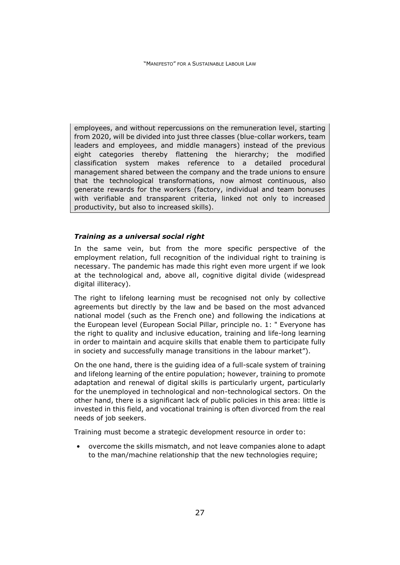employees, and without repercussions on the remuneration level, starting from 2020, will be divided into just three classes (blue-collar workers, team leaders and employees, and middle managers) instead of the previous eight categories thereby flattening the hierarchy; the modified classification system makes reference to a detailed procedural management shared between the company and the trade unions to ensure that the technological transformations, now almost continuous, also generate rewards for the workers (factory, individual and team bonuses with verifiable and transparent criteria, linked not only to increased productivity, but also to increased skills).

## *Training as a universal social right*

In the same vein, but from the more specific perspective of the employment relation, full recognition of the individual right to training is necessary. The pandemic has made this right even more urgent if we look at the technological and, above all, cognitive digital divide (widespread digital illiteracy).

The right to lifelong learning must be recognised not only by collective agreements but directly by the law and be based on the most advanced national model (such as the French one) and following the indications at the European level (European Social Pillar, principle no. 1: " Everyone has the right to quality and inclusive education, training and life-long learning in order to maintain and acquire skills that enable them to participate fully in society and successfully manage transitions in the labour market").

On the one hand, there is the guiding idea of a full-scale system of training and lifelong learning of the entire population; however, training to promote adaptation and renewal of digital skills is particularly urgent, particularly for the unemployed in technological and non-technological sectors. On the other hand, there is a significant lack of public policies in this area: little is invested in this field, and vocational training is often divorced from the real needs of job seekers.

Training must become a strategic development resource in order to:

• overcome the skills mismatch, and not leave companies alone to adapt to the man/machine relationship that the new technologies require;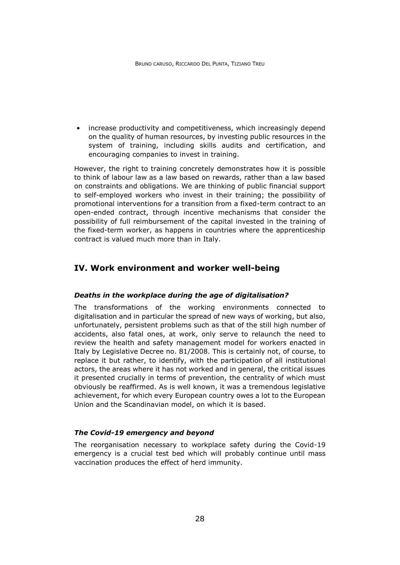• increase productivity and competitiveness, which increasingly depend on the quality of human resources, by investing public resources in the system of training, including skills audits and certification, and encouraging companies to invest in training.

However, the right to training concretely demonstrates how it is possible to think of labour law as a law based on rewards, rather than a law based on constraints and obligations. We are thinking of public financial support to self-employed workers who invest in their training; the possibility of promotional interventions for a transition from a fixed-term contract to an open-ended contract, through incentive mechanisms that consider the possibility of full reimbursement of the capital invested in the training of the fixed-term worker, as happens in countries where the apprenticeship contract is valued much more than in Italy.

# <span id="page-32-0"></span>**IV. Work environment and worker well-being**

#### *Deaths in the workplace during the age of digitalisation?*

The transformations of the working environments connected to digitalisation and in particular the spread of new ways of working, but also, unfortunately, persistent problems such as that of the still high number of accidents, also fatal ones, at work, only serve to relaunch the need to review the health and safety management model for workers enacted in Italy by Legislative Decree no. 81/2008. This is certainly not, of course, to replace it but rather, to identify, with the participation of all institutional actors, the areas where it has not worked and in general, the critical issues it presented crucially in terms of prevention, the centrality of which must obviously be reaffirmed. As is well known, it was a tremendous legislative achievement, for which every European country owes a lot to the European Union and the Scandinavian model, on which it is based.

#### *The Covid-19 emergency and beyond*

The reorganisation necessary to workplace safety during the Covid-19 emergency is a crucial test bed which will probably continue until mass vaccination produces the effect of herd immunity.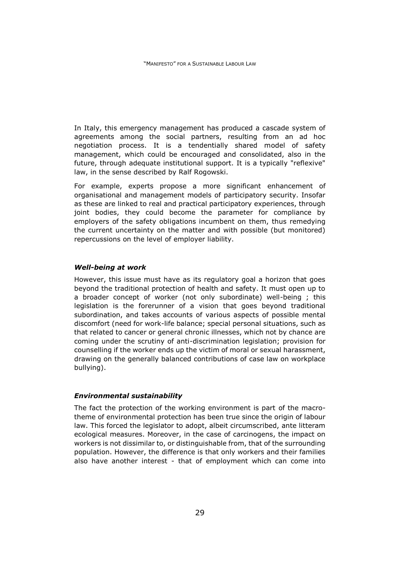In Italy, this emergency management has produced a cascade system of agreements among the social partners, resulting from an ad hoc negotiation process. It is a tendentially shared model of safety management, which could be encouraged and consolidated, also in the future, through adequate institutional support. It is a typically "reflexive" law, in the sense described by Ralf Rogowski.

For example, experts propose a more significant enhancement of organisational and management models of participatory security. Insofar as these are linked to real and practical participatory experiences, through joint bodies, they could become the parameter for compliance by employers of the safety obligations incumbent on them, thus remedying the current uncertainty on the matter and with possible (but monitored) repercussions on the level of employer liability.

#### *Well-being at work*

However, this issue must have as its regulatory goal a horizon that goes beyond the traditional protection of health and safety. It must open up to a broader concept of worker (not only subordinate) well-being ; this legislation is the forerunner of a vision that goes beyond traditional subordination, and takes accounts of various aspects of possible mental discomfort (need for work-life balance; special personal situations, such as that related to cancer or general chronic illnesses, which not by chance are coming under the scrutiny of anti-discrimination legislation; provision for counselling if the worker ends up the victim of moral or sexual harassment, drawing on the generally balanced contributions of case law on workplace bullying).

#### *Environmental sustainability*

The fact the protection of the working environment is part of the macrotheme of environmental protection has been true since the origin of labour law. This forced the legislator to adopt, albeit circumscribed, ante litteram ecological measures. Moreover, in the case of carcinogens, the impact on workers is not dissimilar to, or distinguishable from, that of the surrounding population. However, the difference is that only workers and their families also have another interest - that of employment which can come into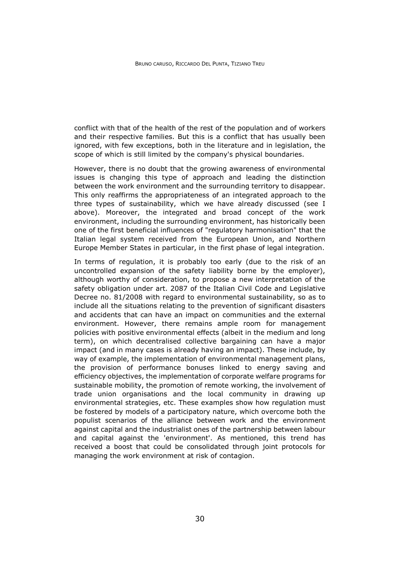conflict with that of the health of the rest of the population and of workers and their respective families. But this is a conflict that has usually been ignored, with few exceptions, both in the literature and in legislation, the scope of which is still limited by the company's physical boundaries.

However, there is no doubt that the growing awareness of environmental issues is changing this type of approach and leading the distinction between the work environment and the surrounding territory to disappear. This only reaffirms the appropriateness of an integrated approach to the three types of sustainability, which we have already discussed (see I above). Moreover, the integrated and broad concept of the work environment, including the surrounding environment, has historically been one of the first beneficial influences of "regulatory harmonisation" that the Italian legal system received from the European Union, and Northern Europe Member States in particular, in the first phase of legal integration.

In terms of regulation, it is probably too early (due to the risk of an uncontrolled expansion of the safety liability borne by the employer), although worthy of consideration, to propose a new interpretation of the safety obligation under art. 2087 of the Italian Civil Code and Legislative Decree no. 81/2008 with regard to environmental sustainability, so as to include all the situations relating to the prevention of significant disasters and accidents that can have an impact on communities and the external environment. However, there remains ample room for management policies with positive environmental effects (albeit in the medium and long term), on which decentralised collective bargaining can have a major impact (and in many cases is already having an impact). These include, by way of example, the implementation of environmental management plans, the provision of performance bonuses linked to energy saving and efficiency objectives, the implementation of corporate welfare programs for sustainable mobility, the promotion of remote working, the involvement of trade union organisations and the local community in drawing up environmental strategies, etc. These examples show how regulation must be fostered by models of a participatory nature, which overcome both the populist scenarios of the alliance between work and the environment against capital and the industrialist ones of the partnership between labour and capital against the 'environment'. As mentioned, this trend has received a boost that could be consolidated through joint protocols for managing the work environment at risk of contagion.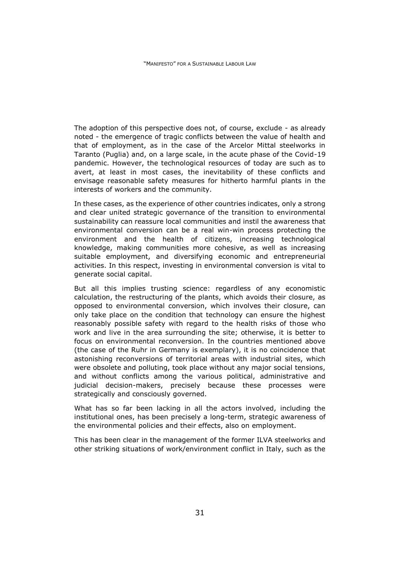The adoption of this perspective does not, of course, exclude - as already noted - the emergence of tragic conflicts between the value of health and that of employment, as in the case of the Arcelor Mittal steelworks in Taranto (Puglia) and, on a large scale, in the acute phase of the Covid-19 pandemic. However, the technological resources of today are such as to avert, at least in most cases, the inevitability of these conflicts and envisage reasonable safety measures for hitherto harmful plants in the interests of workers and the community.

In these cases, as the experience of other countries indicates, only a strong and clear united strategic governance of the transition to environmental sustainability can reassure local communities and instil the awareness that environmental conversion can be a real win-win process protecting the environment and the health of citizens, increasing technological knowledge, making communities more cohesive, as well as increasing suitable employment, and diversifying economic and entrepreneurial activities. In this respect, investing in environmental conversion is vital to generate social capital.

But all this implies trusting science: regardless of any economistic calculation, the restructuring of the plants, which avoids their closure, as opposed to environmental conversion, which involves their closure, can only take place on the condition that technology can ensure the highest reasonably possible safety with regard to the health risks of those who work and live in the area surrounding the site; otherwise, it is better to focus on environmental reconversion. In the countries mentioned above (the case of the Ruhr in Germany is exemplary), it is no coincidence that astonishing reconversions of territorial areas with industrial sites, which were obsolete and polluting, took place without any major social tensions, and without conflicts among the various political, administrative and judicial decision-makers, precisely because these processes were strategically and consciously governed.

What has so far been lacking in all the actors involved, including the institutional ones, has been precisely a long-term, strategic awareness of the environmental policies and their effects, also on employment.

This has been clear in the management of the former ILVA steelworks and other striking situations of work/environment conflict in Italy, such as the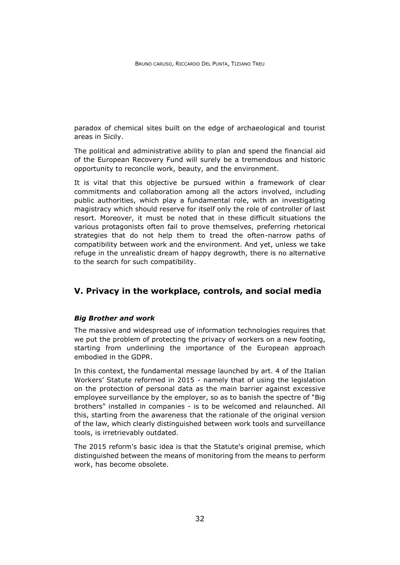paradox of chemical sites built on the edge of archaeological and tourist areas in Sicily.

The political and administrative ability to plan and spend the financial aid of the European Recovery Fund will surely be a tremendous and historic opportunity to reconcile work, beauty, and the environment.

It is vital that this objective be pursued within a framework of clear commitments and collaboration among all the actors involved, including public authorities, which play a fundamental role, with an investigating magistracy which should reserve for itself only the role of controller of last resort. Moreover, it must be noted that in these difficult situations the various protagonists often fail to prove themselves, preferring rhetorical strategies that do not help them to tread the often-narrow paths of compatibility between work and the environment. And yet, unless we take refuge in the unrealistic dream of happy degrowth, there is no alternative to the search for such compatibility.

# **V. Privacy in the workplace, controls, and social media**

## *Big Brother and work*

The massive and widespread use of information technologies requires that we put the problem of protecting the privacy of workers on a new footing, starting from underlining the importance of the European approach embodied in the GDPR.

In this context, the fundamental message launched by art. 4 of the Italian Workers' Statute reformed in 2015 - namely that of using the legislation on the protection of personal data as the main barrier against excessive employee surveillance by the employer, so as to banish the spectre of "Big brothers" installed in companies - is to be welcomed and relaunched. All this, starting from the awareness that the rationale of the original version of the law, which clearly distinguished between work tools and surveillance tools, is irretrievably outdated.

The 2015 reform's basic idea is that the Statute's original premise, which distinguished between the means of monitoring from the means to perform work, has become obsolete.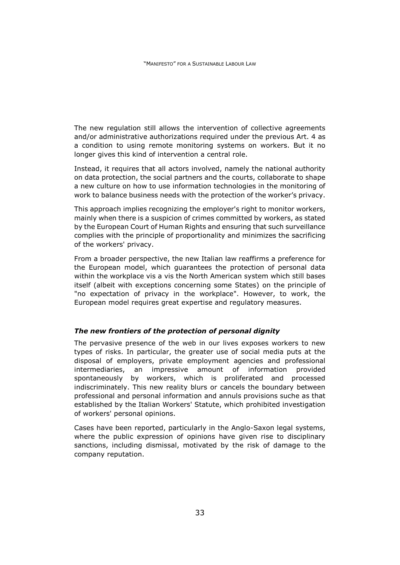The new regulation still allows the intervention of collective agreements and/or administrative authorizations required under the previous Art. 4 as a condition to using remote monitoring systems on workers. But it no longer gives this kind of intervention a central role.

Instead, it requires that all actors involved, namely the national authority on data protection, the social partners and the courts, collaborate to shape a new culture on how to use information technologies in the monitoring of work to balance business needs with the protection of the worker's privacy.

This approach implies recognizing the employer's right to monitor workers, mainly when there is a suspicion of crimes committed by workers, as stated by the European Court of Human Rights and ensuring that such surveillance complies with the principle of proportionality and minimizes the sacrificing of the workers' privacy.

From a broader perspective, the new Italian law reaffirms a preference for the European model, which guarantees the protection of personal data within the workplace vis a vis the North American system which still bases itself (albeit with exceptions concerning some States) on the principle of "no expectation of privacy in the workplace". However, to work, the European model requires great expertise and regulatory measures.

## *The new frontiers of the protection of personal dignity*

The pervasive presence of the web in our lives exposes workers to new types of risks. In particular, the greater use of social media puts at the disposal of employers, private employment agencies and professional intermediaries, an impressive amount of information provided spontaneously by workers, which is proliferated and processed indiscriminately. This new reality blurs or cancels the boundary between professional and personal information and annuls provisions suche as that established by the Italian Workers' Statute, which prohibited investigation of workers' personal opinions.

Cases have been reported, particularly in the Anglo-Saxon legal systems, where the public expression of opinions have given rise to disciplinary sanctions, including dismissal, motivated by the risk of damage to the company reputation.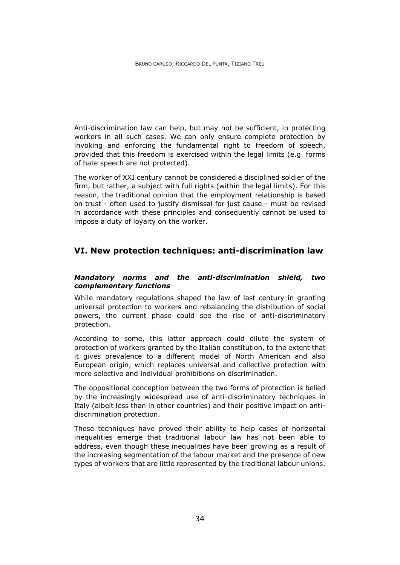Anti-discrimination law can help, but may not be sufficient, in protecting workers in all such cases. We can only ensure complete protection by invoking and enforcing the fundamental right to freedom of speech, provided that this freedom is exercised within the legal limits (e.g. forms of hate speech are not protected).

The worker of XXI century cannot be considered a disciplined soldier of the firm, but rather, a subject with full rights (within the legal limits). For this reason, the traditional opinion that the employment relationship is based on trust - often used to justify dismissal for just cause - must be revised in accordance with these principles and consequently cannot be used to impose a duty of loyalty on the worker.

# **VI. New protection techniques: anti-discrimination law**

# *Mandatory norms and the anti-discrimination shield, two complementary functions*

While mandatory regulations shaped the law of last century in granting universal protection to workers and rebalancing the distribution of social powers, the current phase could see the rise of anti-discriminatory protection.

According to some, this latter approach could dilute the system of protection of workers granted by the Italian constitution, to the extent that it gives prevalence to a different model of North American and also European origin, which replaces universal and collective protection with more selective and individual prohibitions on discrimination.

The oppositional conception between the two forms of protection is belied by the increasingly widespread use of anti-discriminatory techniques in Italy (albeit less than in other countries) and their positive impact on antidiscrimination protection.

These techniques have proved their ability to help cases of horizontal inequalities emerge that traditional labour law has not been able to address, even though these inequalities have been growing as a result of the increasing segmentation of the labour market and the presence of new types of workers that are little represented by the traditional labour unions.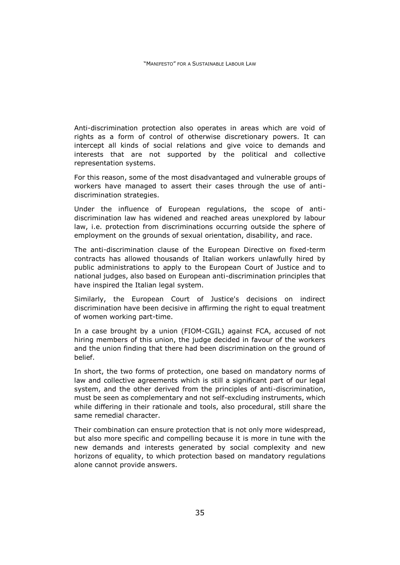Anti-discrimination protection also operates in areas which are void of rights as a form of control of otherwise discretionary powers. It can intercept all kinds of social relations and give voice to demands and interests that are not supported by the political and collective representation systems.

For this reason, some of the most disadvantaged and vulnerable groups of workers have managed to assert their cases through the use of antidiscrimination strategies.

Under the influence of European regulations, the scope of antidiscrimination law has widened and reached areas unexplored by labour law, i.e. protection from discriminations occurring outside the sphere of employment on the grounds of sexual orientation, disability, and race.

The anti-discrimination clause of the European Directive on fixed-term contracts has allowed thousands of Italian workers unlawfully hired by public administrations to apply to the European Court of Justice and to national judges, also based on European anti-discrimination principles that have inspired the Italian legal system.

Similarly, the European Court of Justice's decisions on indirect discrimination have been decisive in affirming the right to equal treatment of women working part-time.

In a case brought by a union (FIOM-CGIL) against FCA, accused of not hiring members of this union, the judge decided in favour of the workers and the union finding that there had been discrimination on the ground of belief.

In short, the two forms of protection, one based on mandatory norms of law and collective agreements which is still a significant part of our legal system, and the other derived from the principles of anti-discrimination, must be seen as complementary and not self-excluding instruments, which while differing in their rationale and tools, also procedural, still share the same remedial character.

Their combination can ensure protection that is not only more widespread, but also more specific and compelling because it is more in tune with the new demands and interests generated by social complexity and new horizons of equality, to which protection based on mandatory regulations alone cannot provide answers.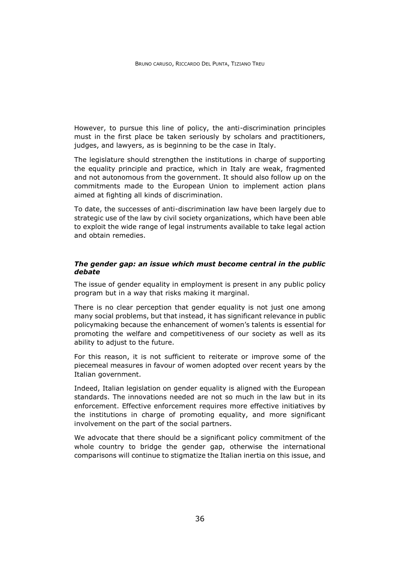However, to pursue this line of policy, the anti-discrimination principles must in the first place be taken seriously by scholars and practitioners, judges, and lawyers, as is beginning to be the case in Italy.

The legislature should strengthen the institutions in charge of supporting the equality principle and practice, which in Italy are weak, fragmented and not autonomous from the government. It should also follow up on the commitments made to the European Union to implement action plans aimed at fighting all kinds of discrimination.

To date, the successes of anti-discrimination law have been largely due to strategic use of the law by civil society organizations, which have been able to exploit the wide range of legal instruments available to take legal action and obtain remedies.

## *The gender gap: an issue which must become central in the public debate*

The issue of gender equality in employment is present in any public policy program but in a way that risks making it marginal.

There is no clear perception that gender equality is not just one among many social problems, but that instead, it has significant relevance in public policymaking because the enhancement of women's talents is essential for promoting the welfare and competitiveness of our society as well as its ability to adjust to the future.

For this reason, it is not sufficient to reiterate or improve some of the piecemeal measures in favour of women adopted over recent years by the Italian government.

Indeed, Italian legislation on gender equality is aligned with the European standards. The innovations needed are not so much in the law but in its enforcement. Effective enforcement requires more effective initiatives by the institutions in charge of promoting equality, and more significant involvement on the part of the social partners.

We advocate that there should be a significant policy commitment of the whole country to bridge the gender gap, otherwise the international comparisons will continue to stigmatize the Italian inertia on this issue, and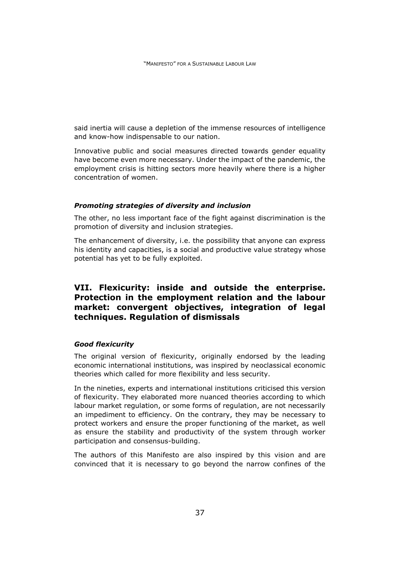said inertia will cause a depletion of the immense resources of intelligence and know-how indispensable to our nation.

Innovative public and social measures directed towards gender equality have become even more necessary. Under the impact of the pandemic, the employment crisis is hitting sectors more heavily where there is a higher concentration of women.

### *Promoting strategies of diversity and inclusion*

The other, no less important face of the fight against discrimination is the promotion of diversity and inclusion strategies.

The enhancement of diversity, i.e. the possibility that anyone can express his identity and capacities, is a social and productive value strategy whose potential has yet to be fully exploited.

# **VII. Flexicurity: inside and outside the enterprise. Protection in the employment relation and the labour market: convergent objectives, integration of legal techniques. Regulation of dismissals**

#### *Good flexicurity*

The original version of flexicurity, originally endorsed by the leading economic international institutions, was inspired by neoclassical economic theories which called for more flexibility and less security.

In the nineties, experts and international institutions criticised this version of flexicurity. They elaborated more nuanced theories according to which labour market regulation, or some forms of regulation, are not necessarily an impediment to efficiency. On the contrary, they may be necessary to protect workers and ensure the proper functioning of the market, as well as ensure the stability and productivity of the system through worker participation and consensus-building.

The authors of this Manifesto are also inspired by this vision and are convinced that it is necessary to go beyond the narrow confines of the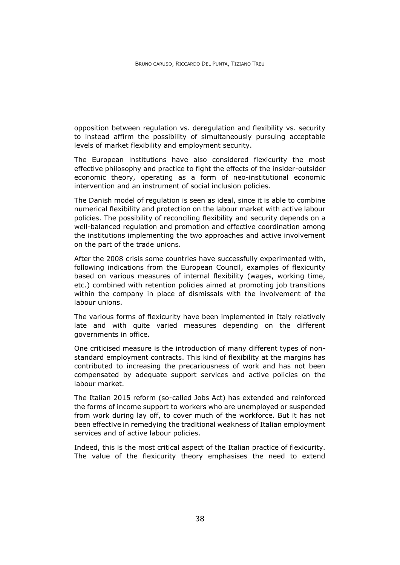opposition between regulation vs. deregulation and flexibility vs. security to instead affirm the possibility of simultaneously pursuing acceptable levels of market flexibility and employment security.

The European institutions have also considered flexicurity the most effective philosophy and practice to fight the effects of the insider-outsider economic theory, operating as a form of neo-institutional economic intervention and an instrument of social inclusion policies.

The Danish model of regulation is seen as ideal, since it is able to combine numerical flexibility and protection on the labour market with active labour policies. The possibility of reconciling flexibility and security depends on a well-balanced regulation and promotion and effective coordination among the institutions implementing the two approaches and active involvement on the part of the trade unions.

After the 2008 crisis some countries have successfully experimented with, following indications from the European Council, examples of flexicurity based on various measures of internal flexibility (wages, working time, etc.) combined with retention policies aimed at promoting job transitions within the company in place of dismissals with the involvement of the labour unions.

The various forms of flexicurity have been implemented in Italy relatively late and with quite varied measures depending on the different governments in office.

One criticised measure is the introduction of many different types of nonstandard employment contracts. This kind of flexibility at the margins has contributed to increasing the precariousness of work and has not been compensated by adequate support services and active policies on the labour market.

The Italian 2015 reform (so-called Jobs Act) has extended and reinforced the forms of income support to workers who are unemployed or suspended from work during lay off, to cover much of the workforce. But it has not been effective in remedying the traditional weakness of Italian employment services and of active labour policies.

Indeed, this is the most critical aspect of the Italian practice of flexicurity. The value of the flexicurity theory emphasises the need to extend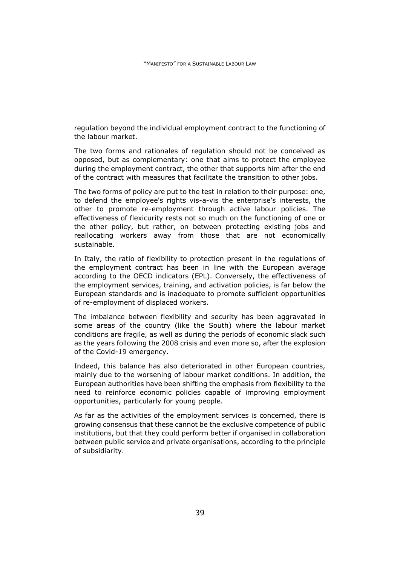regulation beyond the individual employment contract to the functioning of the labour market.

The two forms and rationales of regulation should not be conceived as opposed, but as complementary: one that aims to protect the employee during the employment contract, the other that supports him after the end of the contract with measures that facilitate the transition to other jobs.

The two forms of policy are put to the test in relation to their purpose: one, to defend the employee's rights vis-a-vis the enterprise's interests, the other to promote re-employment through active labour policies. The effectiveness of flexicurity rests not so much on the functioning of one or the other policy, but rather, on between protecting existing jobs and reallocating workers away from those that are not economically sustainable.

In Italy, the ratio of flexibility to protection present in the regulations of the employment contract has been in line with the European average according to the OECD indicators (EPL). Conversely, the effectiveness of the employment services, training, and activation policies, is far below the European standards and is inadequate to promote sufficient opportunities of re-employment of displaced workers.

The imbalance between flexibility and security has been aggravated in some areas of the country (like the South) where the labour market conditions are fragile, as well as during the periods of economic slack such as the years following the 2008 crisis and even more so, after the explosion of the Covid-19 emergency.

Indeed, this balance has also deteriorated in other European countries, mainly due to the worsening of labour market conditions. In addition, the European authorities have been shifting the emphasis from flexibility to the need to reinforce economic policies capable of improving employment opportunities, particularly for young people.

As far as the activities of the employment services is concerned, there is growing consensus that these cannot be the exclusive competence of public institutions, but that they could perform better if organised in collaboration between public service and private organisations, according to the principle of subsidiarity.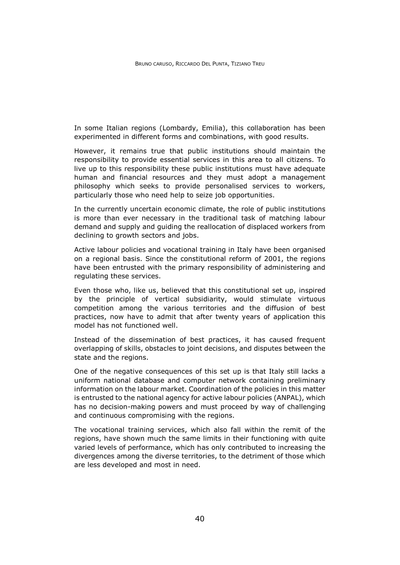In some Italian regions (Lombardy, Emilia), this collaboration has been experimented in different forms and combinations, with good results.

However, it remains true that public institutions should maintain the responsibility to provide essential services in this area to all citizens. To live up to this responsibility these public institutions must have adequate human and financial resources and they must adopt a management philosophy which seeks to provide personalised services to workers, particularly those who need help to seize job opportunities.

In the currently uncertain economic climate, the role of public institutions is more than ever necessary in the traditional task of matching labour demand and supply and guiding the reallocation of displaced workers from declining to growth sectors and jobs.

Active labour policies and vocational training in Italy have been organised on a regional basis. Since the constitutional reform of 2001, the regions have been entrusted with the primary responsibility of administering and regulating these services.

Even those who, like us, believed that this constitutional set up, inspired by the principle of vertical subsidiarity, would stimulate virtuous competition among the various territories and the diffusion of best practices, now have to admit that after twenty years of application this model has not functioned well.

Instead of the dissemination of best practices, it has caused frequent overlapping of skills, obstacles to joint decisions, and disputes between the state and the regions.

One of the negative consequences of this set up is that Italy still lacks a uniform national database and computer network containing preliminary information on the labour market. Coordination of the policies in this matter is entrusted to the national agency for active labour policies (ANPAL), which has no decision-making powers and must proceed by way of challenging and continuous compromising with the regions.

The vocational training services, which also fall within the remit of the regions, have shown much the same limits in their functioning with quite varied levels of performance, which has only contributed to increasing the divergences among the diverse territories, to the detriment of those which are less developed and most in need.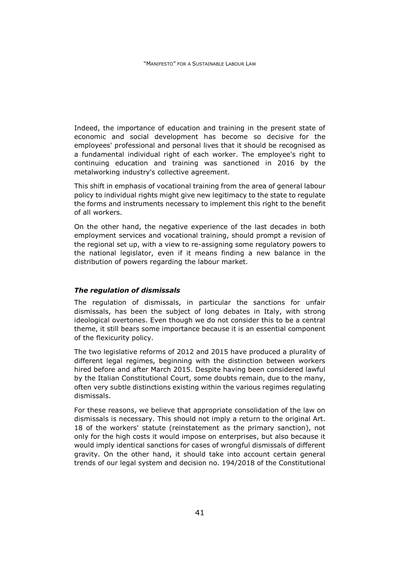Indeed, the importance of education and training in the present state of economic and social development has become so decisive for the employees' professional and personal lives that it should be recognised as a fundamental individual right of each worker. The employee's right to continuing education and training was sanctioned in 2016 by the metalworking industry's collective agreement.

This shift in emphasis of vocational training from the area of general labour policy to individual rights might give new legitimacy to the state to regulate the forms and instruments necessary to implement this right to the benefit of all workers.

On the other hand, the negative experience of the last decades in both employment services and vocational training, should prompt a revision of the regional set up, with a view to re-assigning some regulatory powers to the national legislator, even if it means finding a new balance in the distribution of powers regarding the labour market.

## *The regulation of dismissals*

The regulation of dismissals, in particular the sanctions for unfair dismissals, has been the subject of long debates in Italy, with strong ideological overtones. Even though we do not consider this to be a central theme, it still bears some importance because it is an essential component of the flexicurity policy.

The two legislative reforms of 2012 and 2015 have produced a plurality of different legal regimes, beginning with the distinction between workers hired before and after March 2015. Despite having been considered lawful by the Italian Constitutional Court, some doubts remain, due to the many, often very subtle distinctions existing within the various regimes regulating dismissals.

For these reasons, we believe that appropriate consolidation of the law on dismissals is necessary. This should not imply a return to the original Art. 18 of the workers' statute (reinstatement as the primary sanction), not only for the high costs it would impose on enterprises, but also because it would imply identical sanctions for cases of wrongful dismissals of different gravity. On the other hand, it should take into account certain general trends of our legal system and decision no. 194/2018 of the Constitutional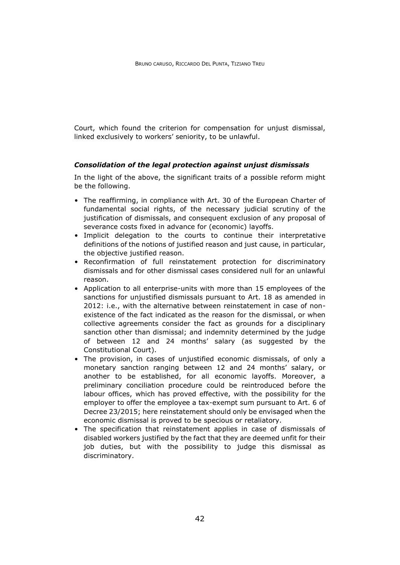Court, which found the criterion for compensation for unjust dismissal, linked exclusively to workers' seniority, to be unlawful.

# *Consolidation of the legal protection against unjust dismissals*

In the light of the above, the significant traits of a possible reform might be the following.

- The reaffirming, in compliance with Art. 30 of the European Charter of fundamental social rights, of the necessary judicial scrutiny of the justification of dismissals, and consequent exclusion of any proposal of severance costs fixed in advance for (economic) layoffs.
- Implicit delegation to the courts to continue their interpretative definitions of the notions of justified reason and just cause, in particular, the objective justified reason.
- Reconfirmation of full reinstatement protection for discriminatory dismissals and for other dismissal cases considered null for an unlawful reason.
- Application to all enterprise-units with more than 15 employees of the sanctions for unjustified dismissals pursuant to Art. 18 as amended in 2012: i.e., with the alternative between reinstatement in case of nonexistence of the fact indicated as the reason for the dismissal, or when collective agreements consider the fact as grounds for a disciplinary sanction other than dismissal; and indemnity determined by the judge of between 12 and 24 months' salary (as suggested by the Constitutional Court).
- The provision, in cases of unjustified economic dismissals, of only a monetary sanction ranging between 12 and 24 months' salary, or another to be established, for all economic layoffs. Moreover, a preliminary conciliation procedure could be reintroduced before the labour offices, which has proved effective, with the possibility for the employer to offer the employee a tax-exempt sum pursuant to Art. 6 of Decree 23/2015; here reinstatement should only be envisaged when the economic dismissal is proved to be specious or retaliatory.
- The specification that reinstatement applies in case of dismissals of disabled workers justified by the fact that they are deemed unfit for their job duties, but with the possibility to judge this dismissal as discriminatory.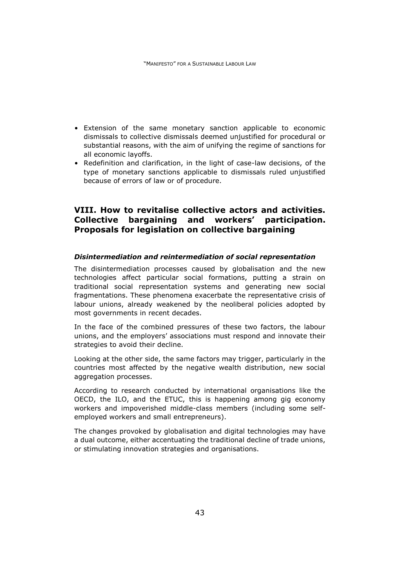- Extension of the same monetary sanction applicable to economic dismissals to collective dismissals deemed unjustified for procedural or substantial reasons, with the aim of unifying the regime of sanctions for all economic layoffs.
- Redefinition and clarification, in the light of case-law decisions, of the type of monetary sanctions applicable to dismissals ruled unjustified because of errors of law or of procedure.

# **VIII. How to revitalise collective actors and activities. Collective bargaining and workers' participation. Proposals for legislation on collective bargaining**

## *Disintermediation and reintermediation of social representation*

The disintermediation processes caused by globalisation and the new technologies affect particular social formations, putting a strain on traditional social representation systems and generating new social fragmentations. These phenomena exacerbate the representative crisis of labour unions, already weakened by the neoliberal policies adopted by most governments in recent decades.

In the face of the combined pressures of these two factors, the labour unions, and the employers' associations must respond and innovate their strategies to avoid their decline.

Looking at the other side, the same factors may trigger, particularly in the countries most affected by the negative wealth distribution, new social aggregation processes.

According to research conducted by international organisations like the OECD, the ILO, and the ETUC, this is happening among gig economy workers and impoverished middle-class members (including some selfemployed workers and small entrepreneurs).

The changes provoked by globalisation and digital technologies may have a dual outcome, either accentuating the traditional decline of trade unions, or stimulating innovation strategies and organisations.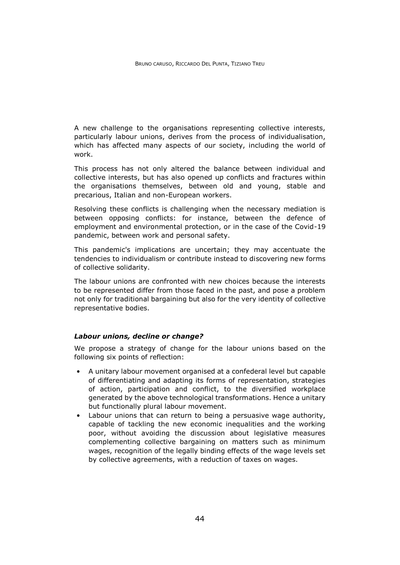A new challenge to the organisations representing collective interests, particularly labour unions, derives from the process of individualisation, which has affected many aspects of our society, including the world of work.

This process has not only altered the balance between individual and collective interests, but has also opened up conflicts and fractures within the organisations themselves, between old and young, stable and precarious, Italian and non-European workers.

Resolving these conflicts is challenging when the necessary mediation is between opposing conflicts: for instance, between the defence of employment and environmental protection, or in the case of the Covid-19 pandemic, between work and personal safety.

This pandemic's implications are uncertain; they may accentuate the tendencies to individualism or contribute instead to discovering new forms of collective solidarity.

The labour unions are confronted with new choices because the interests to be represented differ from those faced in the past, and pose a problem not only for traditional bargaining but also for the very identity of collective representative bodies.

#### *Labour unions, decline or change?*

We propose a strategy of change for the labour unions based on the following six points of reflection:

- A unitary labour movement organised at a confederal level but capable of differentiating and adapting its forms of representation, strategies of action, participation and conflict, to the diversified workplace generated by the above technological transformations. Hence a unitary but functionally plural labour movement.
- Labour unions that can return to being a persuasive wage authority, capable of tackling the new economic inequalities and the working poor, without avoiding the discussion about legislative measures complementing collective bargaining on matters such as minimum wages, recognition of the legally binding effects of the wage levels set by collective agreements, with a reduction of taxes on wages.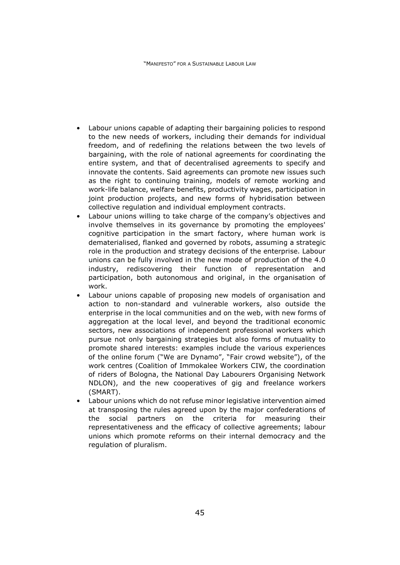- Labour unions capable of adapting their bargaining policies to respond to the new needs of workers, including their demands for individual freedom, and of redefining the relations between the two levels of bargaining, with the role of national agreements for coordinating the entire system, and that of decentralised agreements to specify and innovate the contents. Said agreements can promote new issues such as the right to continuing training, models of remote working and work-life balance, welfare benefits, productivity wages, participation in joint production projects, and new forms of hybridisation between collective regulation and individual employment contracts.
- Labour unions willing to take charge of the company's objectives and involve themselves in its governance by promoting the employees' cognitive participation in the smart factory, where human work is dematerialised, flanked and governed by robots, assuming a strategic role in the production and strategy decisions of the enterprise. Labour unions can be fully involved in the new mode of production of the 4.0 industry, rediscovering their function of representation and participation, both autonomous and original, in the organisation of work.
- Labour unions capable of proposing new models of organisation and action to non-standard and vulnerable workers, also outside the enterprise in the local communities and on the web, with new forms of aggregation at the local level, and beyond the traditional economic sectors, new associations of independent professional workers which pursue not only bargaining strategies but also forms of mutuality to promote shared interests: examples include the various experiences of the online forum ("We are Dynamo", "Fair crowd website"), of the work centres (Coalition of Immokalee Workers CIW, the coordination of riders of Bologna, the National Day Labourers Organising Network NDLON), and the new cooperatives of gig and freelance workers (SMART).
- Labour unions which do not refuse minor legislative intervention aimed at transposing the rules agreed upon by the major confederations of the social partners on the criteria for measuring their representativeness and the efficacy of collective agreements; labour unions which promote reforms on their internal democracy and the regulation of pluralism.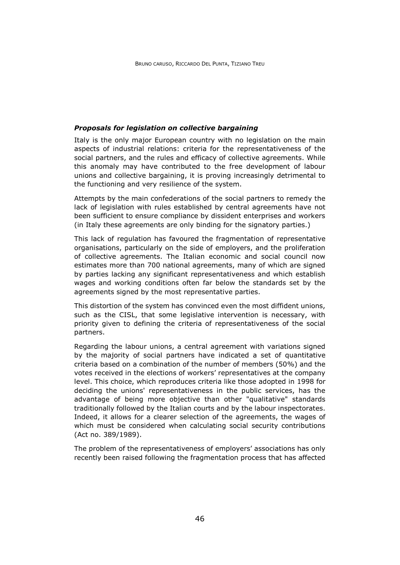#### *Proposals for legislation on collective bargaining*

Italy is the only major European country with no legislation on the main aspects of industrial relations: criteria for the representativeness of the social partners, and the rules and efficacy of collective agreements. While this anomaly may have contributed to the free development of labour unions and collective bargaining, it is proving increasingly detrimental to the functioning and very resilience of the system.

Attempts by the main confederations of the social partners to remedy the lack of legislation with rules established by central agreements have not been sufficient to ensure compliance by dissident enterprises and workers (in Italy these agreements are only binding for the signatory parties.)

This lack of regulation has favoured the fragmentation of representative organisations, particularly on the side of employers, and the proliferation of collective agreements. The Italian economic and social council now estimates more than 700 national agreements, many of which are signed by parties lacking any significant representativeness and which establish wages and working conditions often far below the standards set by the agreements signed by the most representative parties.

This distortion of the system has convinced even the most diffident unions, such as the CISL, that some legislative intervention is necessary, with priority given to defining the criteria of representativeness of the social partners.

Regarding the labour unions, a central agreement with variations signed by the majority of social partners have indicated a set of quantitative criteria based on a combination of the number of members (50%) and the votes received in the elections of workers' representatives at the company level. This choice, which reproduces criteria like those adopted in 1998 for deciding the unions' representativeness in the public services, has the advantage of being more objective than other "qualitative" standards traditionally followed by the Italian courts and by the labour inspectorates. Indeed, it allows for a clearer selection of the agreements, the wages of which must be considered when calculating social security contributions (Act no. 389/1989).

The problem of the representativeness of employers' associations has only recently been raised following the fragmentation process that has affected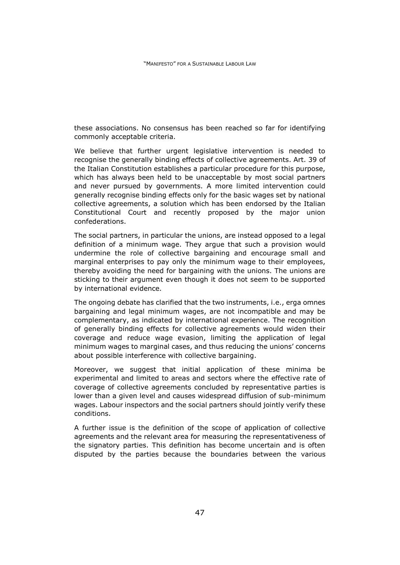these associations. No consensus has been reached so far for identifying commonly acceptable criteria.

We believe that further urgent legislative intervention is needed to recognise the generally binding effects of collective agreements. Art. 39 of the Italian Constitution establishes a particular procedure for this purpose, which has always been held to be unacceptable by most social partners and never pursued by governments. A more limited intervention could generally recognise binding effects only for the basic wages set by national collective agreements, a solution which has been endorsed by the Italian Constitutional Court and recently proposed by the major union confederations.

The social partners, in particular the unions, are instead opposed to a legal definition of a minimum wage. They argue that such a provision would undermine the role of collective bargaining and encourage small and marginal enterprises to pay only the minimum wage to their employees, thereby avoiding the need for bargaining with the unions. The unions are sticking to their argument even though it does not seem to be supported by international evidence.

The ongoing debate has clarified that the two instruments, i.e., erga omnes bargaining and legal minimum wages, are not incompatible and may be complementary, as indicated by international experience. The recognition of generally binding effects for collective agreements would widen their coverage and reduce wage evasion, limiting the application of legal minimum wages to marginal cases, and thus reducing the unions' concerns about possible interference with collective bargaining.

Moreover, we suggest that initial application of these minima be experimental and limited to areas and sectors where the effective rate of coverage of collective agreements concluded by representative parties is lower than a given level and causes widespread diffusion of sub-minimum wages. Labour inspectors and the social partners should jointly verify these conditions.

A further issue is the definition of the scope of application of collective agreements and the relevant area for measuring the representativeness of the signatory parties. This definition has become uncertain and is often disputed by the parties because the boundaries between the various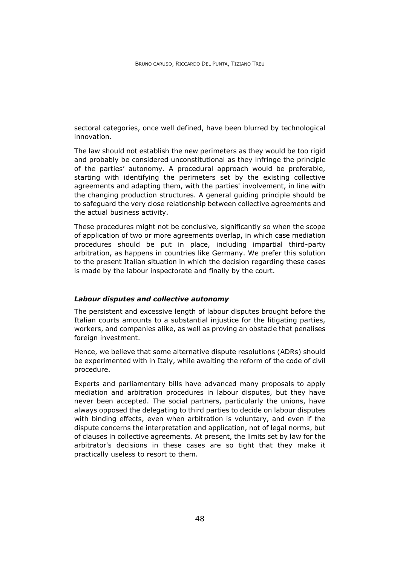sectoral categories, once well defined, have been blurred by technological innovation.

The law should not establish the new perimeters as they would be too rigid and probably be considered unconstitutional as they infringe the principle of the parties' autonomy. A procedural approach would be preferable, starting with identifying the perimeters set by the existing collective agreements and adapting them, with the parties' involvement, in line with the changing production structures. A general guiding principle should be to safeguard the very close relationship between collective agreements and the actual business activity.

These procedures might not be conclusive, significantly so when the scope of application of two or more agreements overlap, in which case mediation procedures should be put in place, including impartial third-party arbitration, as happens in countries like Germany. We prefer this solution to the present Italian situation in which the decision regarding these cases is made by the labour inspectorate and finally by the court.

#### *Labour disputes and collective autonomy*

The persistent and excessive length of labour disputes brought before the Italian courts amounts to a substantial injustice for the litigating parties, workers, and companies alike, as well as proving an obstacle that penalises foreign investment.

Hence, we believe that some alternative dispute resolutions (ADRs) should be experimented with in Italy, while awaiting the reform of the code of civil procedure.

Experts and parliamentary bills have advanced many proposals to apply mediation and arbitration procedures in labour disputes, but they have never been accepted. The social partners, particularly the unions, have always opposed the delegating to third parties to decide on labour disputes with binding effects, even when arbitration is voluntary, and even if the dispute concerns the interpretation and application, not of legal norms, but of clauses in collective agreements. At present, the limits set by law for the arbitrator's decisions in these cases are so tight that they make it practically useless to resort to them.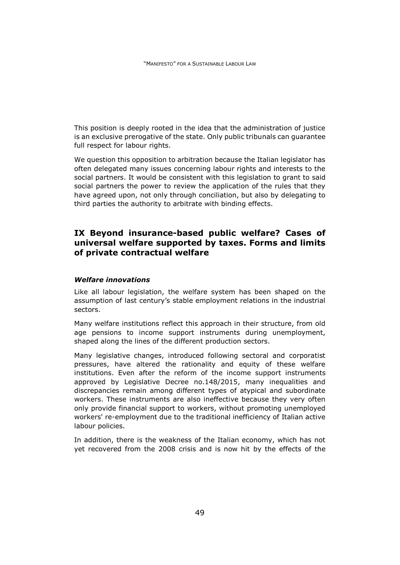This position is deeply rooted in the idea that the administration of justice is an exclusive prerogative of the state. Only public tribunals can guarantee full respect for labour rights.

We question this opposition to arbitration because the Italian legislator has often delegated many issues concerning labour rights and interests to the social partners. It would be consistent with this legislation to grant to said social partners the power to review the application of the rules that they have agreed upon, not only through conciliation, but also by delegating to third parties the authority to arbitrate with binding effects.

# **IX Beyond insurance-based public welfare? Cases of universal welfare supported by taxes. Forms and limits of private contractual welfare**

# *Welfare innovations*

Like all labour legislation, the welfare system has been shaped on the assumption of last century's stable employment relations in the industrial sectors.

Many welfare institutions reflect this approach in their structure, from old age pensions to income support instruments during unemployment, shaped along the lines of the different production sectors.

Many legislative changes, introduced following sectoral and corporatist pressures, have altered the rationality and equity of these welfare institutions. Even after the reform of the income support instruments approved by Legislative Decree no.148/2015, many inequalities and discrepancies remain among different types of atypical and subordinate workers. These instruments are also ineffective because they very often only provide financial support to workers, without promoting unemployed workers' re-employment due to the traditional inefficiency of Italian active labour policies.

In addition, there is the weakness of the Italian economy, which has not yet recovered from the 2008 crisis and is now hit by the effects of the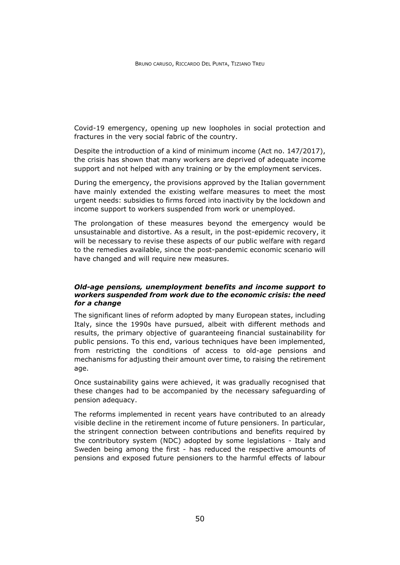Covid-19 emergency, opening up new loopholes in social protection and fractures in the very social fabric of the country.

Despite the introduction of a kind of minimum income (Act no. 147/2017), the crisis has shown that many workers are deprived of adequate income support and not helped with any training or by the employment services.

During the emergency, the provisions approved by the Italian government have mainly extended the existing welfare measures to meet the most urgent needs: subsidies to firms forced into inactivity by the lockdown and income support to workers suspended from work or unemployed.

The prolongation of these measures beyond the emergency would be unsustainable and distortive. As a result, in the post-epidemic recovery, it will be necessary to revise these aspects of our public welfare with regard to the remedies available, since the post-pandemic economic scenario will have changed and will require new measures.

## *Old-age pensions, unemployment benefits and income support to workers suspended from work due to the economic crisis: the need for a change*

The significant lines of reform adopted by many European states, including Italy, since the 1990s have pursued, albeit with different methods and results, the primary objective of guaranteeing financial sustainability for public pensions. To this end, various techniques have been implemented, from restricting the conditions of access to old-age pensions and mechanisms for adjusting their amount over time, to raising the retirement age.

Once sustainability gains were achieved, it was gradually recognised that these changes had to be accompanied by the necessary safeguarding of pension adequacy.

The reforms implemented in recent years have contributed to an already visible decline in the retirement income of future pensioners. In particular, the stringent connection between contributions and benefits required by the contributory system (NDC) adopted by some legislations - Italy and Sweden being among the first - has reduced the respective amounts of pensions and exposed future pensioners to the harmful effects of labour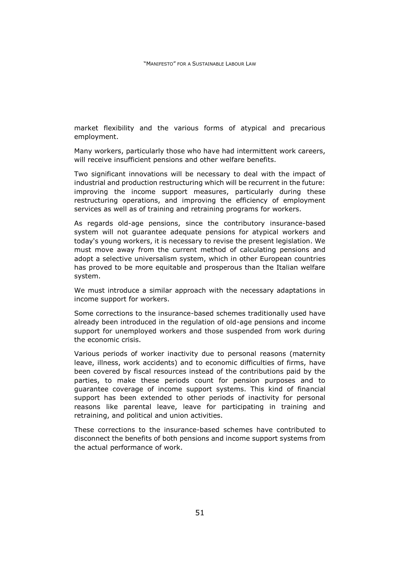market flexibility and the various forms of atypical and precarious employment.

Many workers, particularly those who have had intermittent work careers, will receive insufficient pensions and other welfare benefits.

Two significant innovations will be necessary to deal with the impact of industrial and production restructuring which will be recurrent in the future: improving the income support measures, particularly during these restructuring operations, and improving the efficiency of employment services as well as of training and retraining programs for workers.

As regards old-age pensions, since the contributory insurance-based system will not guarantee adequate pensions for atypical workers and today's young workers, it is necessary to revise the present legislation. We must move away from the current method of calculating pensions and adopt a selective universalism system, which in other European countries has proved to be more equitable and prosperous than the Italian welfare system.

We must introduce a similar approach with the necessary adaptations in income support for workers.

Some corrections to the insurance-based schemes traditionally used have already been introduced in the regulation of old-age pensions and income support for unemployed workers and those suspended from work during the economic crisis.

Various periods of worker inactivity due to personal reasons (maternity leave, illness, work accidents) and to economic difficulties of firms, have been covered by fiscal resources instead of the contributions paid by the parties, to make these periods count for pension purposes and to guarantee coverage of income support systems. This kind of financial support has been extended to other periods of inactivity for personal reasons like parental leave, leave for participating in training and retraining, and political and union activities.

These corrections to the insurance-based schemes have contributed to disconnect the benefits of both pensions and income support systems from the actual performance of work.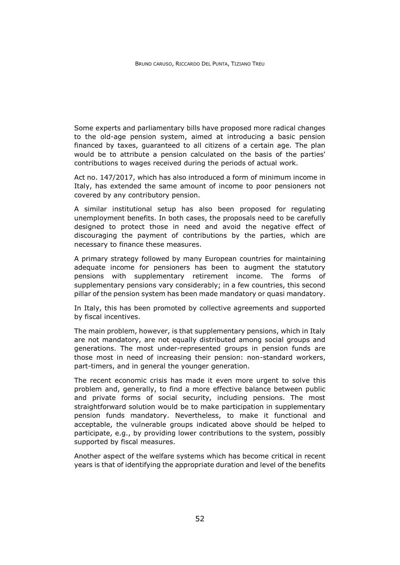Some experts and parliamentary bills have proposed more radical changes to the old-age pension system, aimed at introducing a basic pension financed by taxes, guaranteed to all citizens of a certain age. The plan would be to attribute a pension calculated on the basis of the parties' contributions to wages received during the periods of actual work.

Act no. 147/2017, which has also introduced a form of minimum income in Italy, has extended the same amount of income to poor pensioners not covered by any contributory pension.

A similar institutional setup has also been proposed for regulating unemployment benefits. In both cases, the proposals need to be carefully designed to protect those in need and avoid the negative effect of discouraging the payment of contributions by the parties, which are necessary to finance these measures.

A primary strategy followed by many European countries for maintaining adequate income for pensioners has been to augment the statutory pensions with supplementary retirement income. The forms of supplementary pensions vary considerably; in a few countries, this second pillar of the pension system has been made mandatory or quasi mandatory.

In Italy, this has been promoted by collective agreements and supported by fiscal incentives.

The main problem, however, is that supplementary pensions, which in Italy are not mandatory, are not equally distributed among social groups and generations. The most under-represented groups in pension funds are those most in need of increasing their pension: non-standard workers, part-timers, and in general the younger generation.

The recent economic crisis has made it even more urgent to solve this problem and, generally, to find a more effective balance between public and private forms of social security, including pensions. The most straightforward solution would be to make participation in supplementary pension funds mandatory. Nevertheless, to make it functional and acceptable, the vulnerable groups indicated above should be helped to participate, e.g., by providing lower contributions to the system, possibly supported by fiscal measures.

Another aspect of the welfare systems which has become critical in recent years is that of identifying the appropriate duration and level of the benefits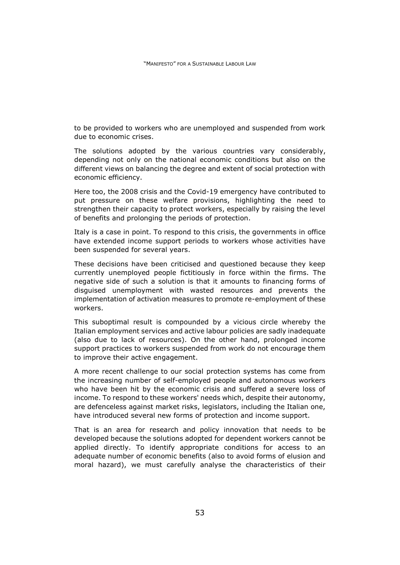to be provided to workers who are unemployed and suspended from work due to economic crises.

The solutions adopted by the various countries vary considerably, depending not only on the national economic conditions but also on the different views on balancing the degree and extent of social protection with economic efficiency.

Here too, the 2008 crisis and the Covid-19 emergency have contributed to put pressure on these welfare provisions, highlighting the need to strengthen their capacity to protect workers, especially by raising the level of benefits and prolonging the periods of protection.

Italy is a case in point. To respond to this crisis, the governments in office have extended income support periods to workers whose activities have been suspended for several years.

These decisions have been criticised and questioned because they keep currently unemployed people fictitiously in force within the firms. The negative side of such a solution is that it amounts to financing forms of disguised unemployment with wasted resources and prevents the implementation of activation measures to promote re-employment of these workers.

This suboptimal result is compounded by a vicious circle whereby the Italian employment services and active labour policies are sadly inadequate (also due to lack of resources). On the other hand, prolonged income support practices to workers suspended from work do not encourage them to improve their active engagement.

A more recent challenge to our social protection systems has come from the increasing number of self-employed people and autonomous workers who have been hit by the economic crisis and suffered a severe loss of income. To respond to these workers' needs which, despite their autonomy, are defenceless against market risks, legislators, including the Italian one, have introduced several new forms of protection and income support.

That is an area for research and policy innovation that needs to be developed because the solutions adopted for dependent workers cannot be applied directly. To identify appropriate conditions for access to an adequate number of economic benefits (also to avoid forms of elusion and moral hazard), we must carefully analyse the characteristics of their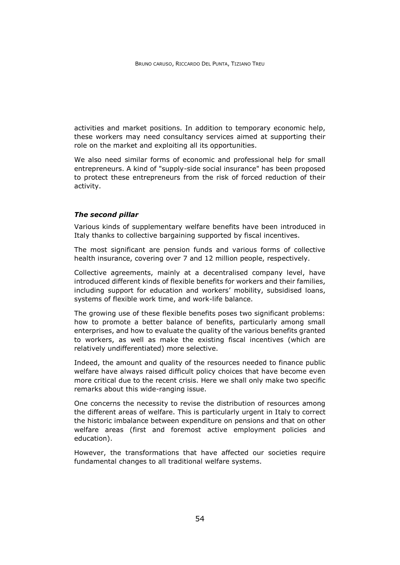activities and market positions. In addition to temporary economic help, these workers may need consultancy services aimed at supporting their role on the market and exploiting all its opportunities.

We also need similar forms of economic and professional help for small entrepreneurs. A kind of "supply-side social insurance" has been proposed to protect these entrepreneurs from the risk of forced reduction of their activity.

#### *The second pillar*

Various kinds of supplementary welfare benefits have been introduced in Italy thanks to collective bargaining supported by fiscal incentives.

The most significant are pension funds and various forms of collective health insurance, covering over 7 and 12 million people, respectively.

Collective agreements, mainly at a decentralised company level, have introduced different kinds of flexible benefits for workers and their families, including support for education and workers' mobility, subsidised loans, systems of flexible work time, and work-life balance.

The growing use of these flexible benefits poses two significant problems: how to promote a better balance of benefits, particularly among small enterprises, and how to evaluate the quality of the various benefits granted to workers, as well as make the existing fiscal incentives (which are relatively undifferentiated) more selective.

Indeed, the amount and quality of the resources needed to finance public welfare have always raised difficult policy choices that have become even more critical due to the recent crisis. Here we shall only make two specific remarks about this wide-ranging issue.

One concerns the necessity to revise the distribution of resources among the different areas of welfare. This is particularly urgent in Italy to correct the historic imbalance between expenditure on pensions and that on other welfare areas (first and foremost active employment policies and education).

However, the transformations that have affected our societies require fundamental changes to all traditional welfare systems.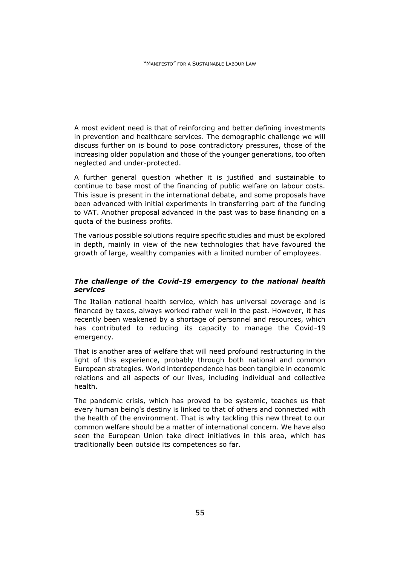A most evident need is that of reinforcing and better defining investments in prevention and healthcare services. The demographic challenge we will discuss further on is bound to pose contradictory pressures, those of the increasing older population and those of the younger generations, too often neglected and under-protected.

A further general question whether it is justified and sustainable to continue to base most of the financing of public welfare on labour costs. This issue is present in the international debate, and some proposals have been advanced with initial experiments in transferring part of the funding to VAT. Another proposal advanced in the past was to base financing on a quota of the business profits.

The various possible solutions require specific studies and must be explored in depth, mainly in view of the new technologies that have favoured the growth of large, wealthy companies with a limited number of employees.

# *The challenge of the Covid-19 emergency to the national health services*

The Italian national health service, which has universal coverage and is financed by taxes, always worked rather well in the past. However, it has recently been weakened by a shortage of personnel and resources, which has contributed to reducing its capacity to manage the Covid-19 emergency.

That is another area of welfare that will need profound restructuring in the light of this experience, probably through both national and common European strategies. World interdependence has been tangible in economic relations and all aspects of our lives, including individual and collective health.

The pandemic crisis, which has proved to be systemic, teaches us that every human being's destiny is linked to that of others and connected with the health of the environment. That is why tackling this new threat to our common welfare should be a matter of international concern. We have also seen the European Union take direct initiatives in this area, which has traditionally been outside its competences so far.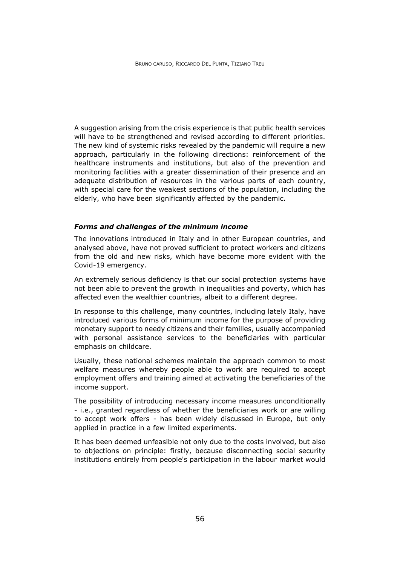A suggestion arising from the crisis experience is that public health services will have to be strengthened and revised according to different priorities. The new kind of systemic risks revealed by the pandemic will require a new approach, particularly in the following directions: reinforcement of the healthcare instruments and institutions, but also of the prevention and monitoring facilities with a greater dissemination of their presence and an adequate distribution of resources in the various parts of each country, with special care for the weakest sections of the population, including the elderly, who have been significantly affected by the pandemic.

#### *Forms and challenges of the minimum income*

The innovations introduced in Italy and in other European countries, and analysed above, have not proved sufficient to protect workers and citizens from the old and new risks, which have become more evident with the Covid-19 emergency.

An extremely serious deficiency is that our social protection systems have not been able to prevent the growth in inequalities and poverty, which has affected even the wealthier countries, albeit to a different degree.

In response to this challenge, many countries, including lately Italy, have introduced various forms of minimum income for the purpose of providing monetary support to needy citizens and their families, usually accompanied with personal assistance services to the beneficiaries with particular emphasis on childcare.

Usually, these national schemes maintain the approach common to most welfare measures whereby people able to work are required to accept employment offers and training aimed at activating the beneficiaries of the income support.

The possibility of introducing necessary income measures unconditionally - i.e., granted regardless of whether the beneficiaries work or are willing to accept work offers - has been widely discussed in Europe, but only applied in practice in a few limited experiments.

It has been deemed unfeasible not only due to the costs involved, but also to objections on principle: firstly, because disconnecting social security institutions entirely from people's participation in the labour market would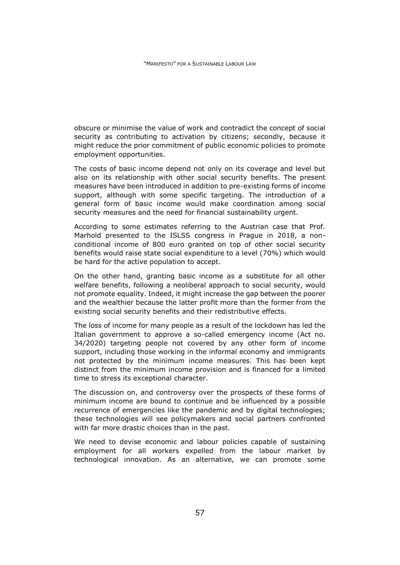obscure or minimise the value of work and contradict the concept of social security as contributing to activation by citizens; secondly, because it might reduce the prior commitment of public economic policies to promote employment opportunities.

The costs of basic income depend not only on its coverage and level but also on its relationship with other social security benefits. The present measures have been introduced in addition to pre-existing forms of income support, although with some specific targeting. The introduction of a general form of basic income would make coordination among social security measures and the need for financial sustainability urgent.

According to some estimates referring to the Austrian case that Prof. Marhold presented to the ISLSS congress in Prague in 2018, a nonconditional income of 800 euro granted on top of other social security benefits would raise state social expenditure to a level (70%) which would be hard for the active population to accept.

On the other hand, granting basic income as a substitute for all other welfare benefits, following a neoliberal approach to social security, would not promote equality. Indeed, it might increase the gap between the poorer and the wealthier because the latter profit more than the former from the existing social security benefits and their redistributive effects.

The loss of income for many people as a result of the lockdown has led the Italian government to approve a so-called emergency income (Act no. 34/2020) targeting people not covered by any other form of income support, including those working in the informal economy and immigrants not protected by the minimum income measures. This has been kept distinct from the minimum income provision and is financed for a limited time to stress its exceptional character.

The discussion on, and controversy over the prospects of these forms of minimum income are bound to continue and be influenced by a possible recurrence of emergencies like the pandemic and by digital technologies; these technologies will see policymakers and social partners confronted with far more drastic choices than in the past.

We need to devise economic and labour policies capable of sustaining employment for all workers expelled from the labour market by technological innovation. As an alternative, we can promote some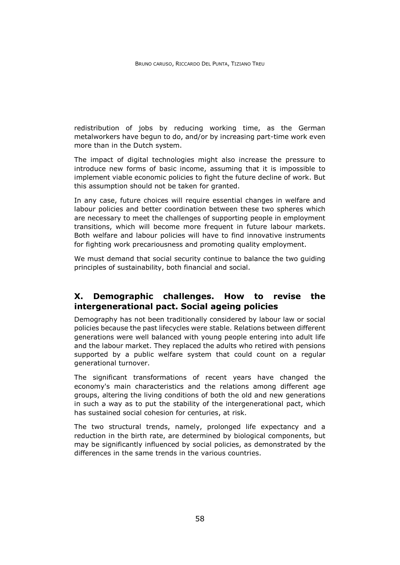redistribution of jobs by reducing working time, as the German metalworkers have begun to do, and/or by increasing part-time work even more than in the Dutch system.

The impact of digital technologies might also increase the pressure to introduce new forms of basic income, assuming that it is impossible to implement viable economic policies to fight the future decline of work. But this assumption should not be taken for granted.

In any case, future choices will require essential changes in welfare and labour policies and better coordination between these two spheres which are necessary to meet the challenges of supporting people in employment transitions, which will become more frequent in future labour markets. Both welfare and labour policies will have to find innovative instruments for fighting work precariousness and promoting quality employment.

We must demand that social security continue to balance the two guiding principles of sustainability, both financial and social.

# **X. Demographic challenges. How to revise the intergenerational pact. Social ageing policies**

Demography has not been traditionally considered by labour law or social policies because the past lifecycles were stable. Relations between different generations were well balanced with young people entering into adult life and the labour market. They replaced the adults who retired with pensions supported by a public welfare system that could count on a regular generational turnover.

The significant transformations of recent years have changed the economy's main characteristics and the relations among different age groups, altering the living conditions of both the old and new generations in such a way as to put the stability of the intergenerational pact, which has sustained social cohesion for centuries, at risk.

The two structural trends, namely, prolonged life expectancy and a reduction in the birth rate, are determined by biological components, but may be significantly influenced by social policies, as demonstrated by the differences in the same trends in the various countries.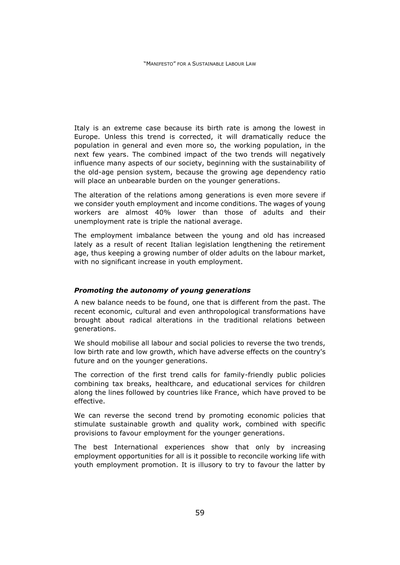Italy is an extreme case because its birth rate is among the lowest in Europe. Unless this trend is corrected, it will dramatically reduce the population in general and even more so, the working population, in the next few years. The combined impact of the two trends will negatively influence many aspects of our society, beginning with the sustainability of the old-age pension system, because the growing age dependency ratio will place an unbearable burden on the younger generations.

The alteration of the relations among generations is even more severe if we consider youth employment and income conditions. The wages of young workers are almost 40% lower than those of adults and their unemployment rate is triple the national average.

The employment imbalance between the young and old has increased lately as a result of recent Italian legislation lengthening the retirement age, thus keeping a growing number of older adults on the labour market, with no significant increase in youth employment.

## *Promoting the autonomy of young generations*

A new balance needs to be found, one that is different from the past. The recent economic, cultural and even anthropological transformations have brought about radical alterations in the traditional relations between generations.

We should mobilise all labour and social policies to reverse the two trends, low birth rate and low growth, which have adverse effects on the country's future and on the younger generations.

The correction of the first trend calls for family-friendly public policies combining tax breaks, healthcare, and educational services for children along the lines followed by countries like France, which have proved to be effective.

We can reverse the second trend by promoting economic policies that stimulate sustainable growth and quality work, combined with specific provisions to favour employment for the younger generations.

The best International experiences show that only by increasing employment opportunities for all is it possible to reconcile working life with youth employment promotion. It is illusory to try to favour the latter by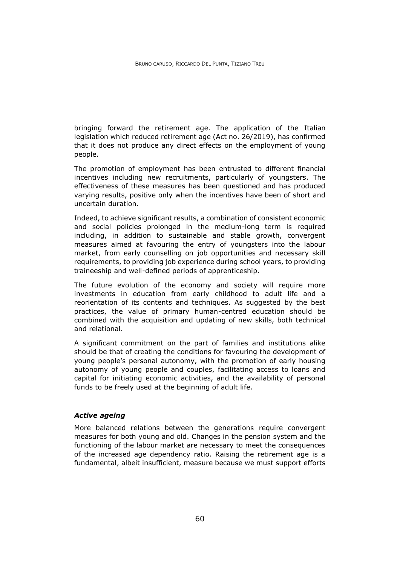bringing forward the retirement age. The application of the Italian legislation which reduced retirement age (Act no. 26/2019), has confirmed that it does not produce any direct effects on the employment of young people.

The promotion of employment has been entrusted to different financial incentives including new recruitments, particularly of youngsters. The effectiveness of these measures has been questioned and has produced varying results, positive only when the incentives have been of short and uncertain duration.

Indeed, to achieve significant results, a combination of consistent economic and social policies prolonged in the medium-long term is required including, in addition to sustainable and stable growth, convergent measures aimed at favouring the entry of youngsters into the labour market, from early counselling on job opportunities and necessary skill requirements, to providing job experience during school years, to providing traineeship and well-defined periods of apprenticeship.

The future evolution of the economy and society will require more investments in education from early childhood to adult life and a reorientation of its contents and techniques. As suggested by the best practices, the value of primary human-centred education should be combined with the acquisition and updating of new skills, both technical and relational.

A significant commitment on the part of families and institutions alike should be that of creating the conditions for favouring the development of young people's personal autonomy, with the promotion of early housing autonomy of young people and couples, facilitating access to loans and capital for initiating economic activities, and the availability of personal funds to be freely used at the beginning of adult life.

## *Active ageing*

More balanced relations between the generations require convergent measures for both young and old. Changes in the pension system and the functioning of the labour market are necessary to meet the consequences of the increased age dependency ratio. Raising the retirement age is a fundamental, albeit insufficient, measure because we must support efforts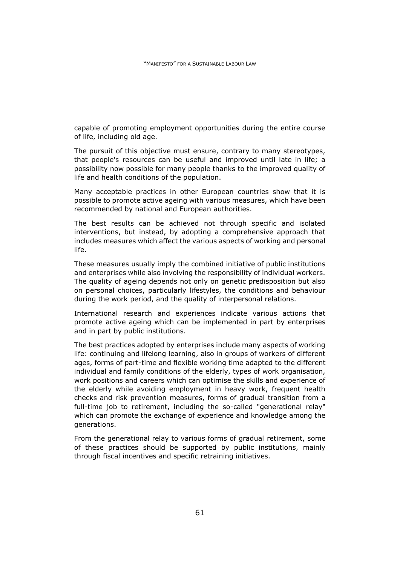capable of promoting employment opportunities during the entire course of life, including old age.

The pursuit of this objective must ensure, contrary to many stereotypes, that people's resources can be useful and improved until late in life; a possibility now possible for many people thanks to the improved quality of life and health conditions of the population.

Many acceptable practices in other European countries show that it is possible to promote active ageing with various measures, which have been recommended by national and European authorities.

The best results can be achieved not through specific and isolated interventions, but instead, by adopting a comprehensive approach that includes measures which affect the various aspects of working and personal life.

These measures usually imply the combined initiative of public institutions and enterprises while also involving the responsibility of individual workers. The quality of ageing depends not only on genetic predisposition but also on personal choices, particularly lifestyles, the conditions and behaviour during the work period, and the quality of interpersonal relations.

International research and experiences indicate various actions that promote active ageing which can be implemented in part by enterprises and in part by public institutions.

The best practices adopted by enterprises include many aspects of working life: continuing and lifelong learning, also in groups of workers of different ages, forms of part-time and flexible working time adapted to the different individual and family conditions of the elderly, types of work organisation, work positions and careers which can optimise the skills and experience of the elderly while avoiding employment in heavy work, frequent health checks and risk prevention measures, forms of gradual transition from a full-time job to retirement, including the so-called "generational relay" which can promote the exchange of experience and knowledge among the generations.

From the generational relay to various forms of gradual retirement, some of these practices should be supported by public institutions, mainly through fiscal incentives and specific retraining initiatives.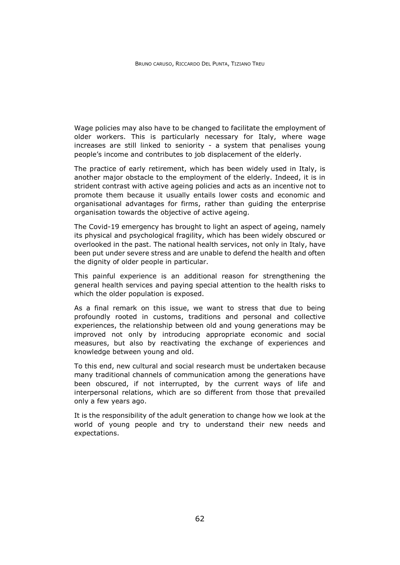Wage policies may also have to be changed to facilitate the employment of older workers. This is particularly necessary for Italy, where wage increases are still linked to seniority - a system that penalises young people's income and contributes to job displacement of the elderly.

The practice of early retirement, which has been widely used in Italy, is another major obstacle to the employment of the elderly. Indeed, it is in strident contrast with active ageing policies and acts as an incentive not to promote them because it usually entails lower costs and economic and organisational advantages for firms, rather than guiding the enterprise organisation towards the objective of active ageing.

The Covid-19 emergency has brought to light an aspect of ageing, namely its physical and psychological fragility, which has been widely obscured or overlooked in the past. The national health services, not only in Italy, have been put under severe stress and are unable to defend the health and often the dignity of older people in particular.

This painful experience is an additional reason for strengthening the general health services and paying special attention to the health risks to which the older population is exposed.

As a final remark on this issue, we want to stress that due to being profoundly rooted in customs, traditions and personal and collective experiences, the relationship between old and young generations may be improved not only by introducing appropriate economic and social measures, but also by reactivating the exchange of experiences and knowledge between young and old.

To this end, new cultural and social research must be undertaken because many traditional channels of communication among the generations have been obscured, if not interrupted, by the current ways of life and interpersonal relations, which are so different from those that prevailed only a few years ago.

It is the responsibility of the adult generation to change how we look at the world of young people and try to understand their new needs and expectations.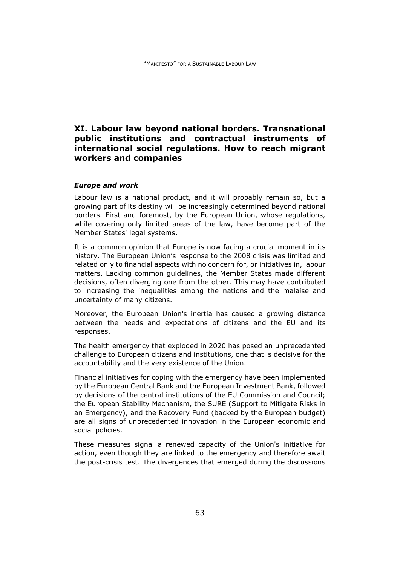# **XI. Labour law beyond national borders. Transnational public institutions and contractual instruments of international social regulations. How to reach migrant workers and companies**

#### *Europe and work*

Labour law is a national product, and it will probably remain so, but a growing part of its destiny will be increasingly determined beyond national borders. First and foremost, by the European Union, whose regulations, while covering only limited areas of the law, have become part of the Member States' legal systems.

It is a common opinion that Europe is now facing a crucial moment in its history. The European Union's response to the 2008 crisis was limited and related only to financial aspects with no concern for, or initiatives in, labour matters. Lacking common guidelines, the Member States made different decisions, often diverging one from the other. This may have contributed to increasing the inequalities among the nations and the malaise and uncertainty of many citizens.

Moreover, the European Union's inertia has caused a growing distance between the needs and expectations of citizens and the EU and its responses.

The health emergency that exploded in 2020 has posed an unprecedented challenge to European citizens and institutions, one that is decisive for the accountability and the very existence of the Union.

Financial initiatives for coping with the emergency have been implemented by the European Central Bank and the European Investment Bank, followed by decisions of the central institutions of the EU Commission and Council; the European Stability Mechanism, the SURE (Support to Mitigate Risks in an Emergency), and the Recovery Fund (backed by the European budget) are all signs of unprecedented innovation in the European economic and social policies.

These measures signal a renewed capacity of the Union's initiative for action, even though they are linked to the emergency and therefore await the post-crisis test. The divergences that emerged during the discussions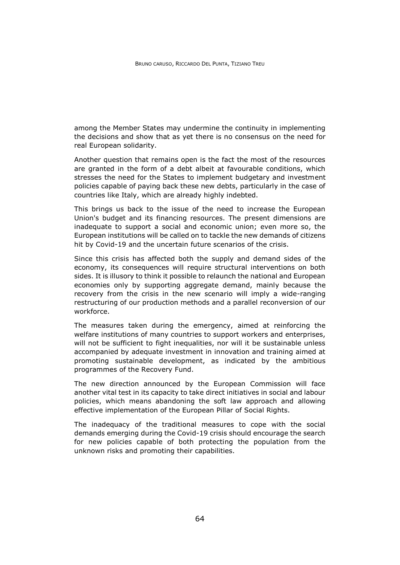among the Member States may undermine the continuity in implementing the decisions and show that as yet there is no consensus on the need for real European solidarity.

Another question that remains open is the fact the most of the resources are granted in the form of a debt albeit at favourable conditions, which stresses the need for the States to implement budgetary and investment policies capable of paying back these new debts, particularly in the case of countries like Italy, which are already highly indebted.

This brings us back to the issue of the need to increase the European Union's budget and its financing resources. The present dimensions are inadequate to support a social and economic union; even more so, the European institutions will be called on to tackle the new demands of citizens hit by Covid-19 and the uncertain future scenarios of the crisis.

Since this crisis has affected both the supply and demand sides of the economy, its consequences will require structural interventions on both sides. It is illusory to think it possible to relaunch the national and European economies only by supporting aggregate demand, mainly because the recovery from the crisis in the new scenario will imply a wide-ranging restructuring of our production methods and a parallel reconversion of our workforce.

The measures taken during the emergency, aimed at reinforcing the welfare institutions of many countries to support workers and enterprises, will not be sufficient to fight inequalities, nor will it be sustainable unless accompanied by adequate investment in innovation and training aimed at promoting sustainable development, as indicated by the ambitious programmes of the Recovery Fund.

The new direction announced by the European Commission will face another vital test in its capacity to take direct initiatives in social and labour policies, which means abandoning the soft law approach and allowing effective implementation of the European Pillar of Social Rights.

The inadequacy of the traditional measures to cope with the social demands emerging during the Covid-19 crisis should encourage the search for new policies capable of both protecting the population from the unknown risks and promoting their capabilities.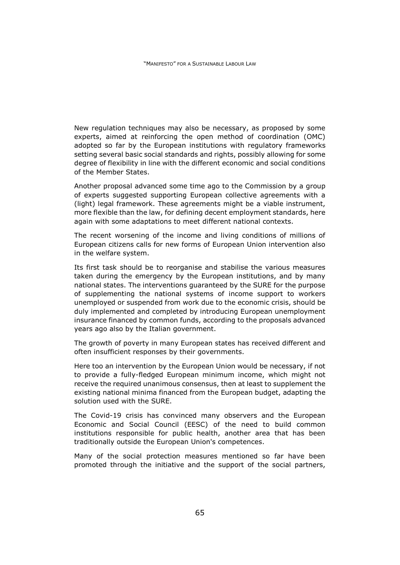New regulation techniques may also be necessary, as proposed by some experts, aimed at reinforcing the open method of coordination (OMC) adopted so far by the European institutions with regulatory frameworks setting several basic social standards and rights, possibly allowing for some degree of flexibility in line with the different economic and social conditions of the Member States.

Another proposal advanced some time ago to the Commission by a group of experts suggested supporting European collective agreements with a (light) legal framework. These agreements might be a viable instrument, more flexible than the law, for defining decent employment standards, here again with some adaptations to meet different national contexts.

The recent worsening of the income and living conditions of millions of European citizens calls for new forms of European Union intervention also in the welfare system.

Its first task should be to reorganise and stabilise the various measures taken during the emergency by the European institutions, and by many national states. The interventions guaranteed by the SURE for the purpose of supplementing the national systems of income support to workers unemployed or suspended from work due to the economic crisis, should be duly implemented and completed by introducing European unemployment insurance financed by common funds, according to the proposals advanced years ago also by the Italian government.

The growth of poverty in many European states has received different and often insufficient responses by their governments.

Here too an intervention by the European Union would be necessary, if not to provide a fully-fledged European minimum income, which might not receive the required unanimous consensus, then at least to supplement the existing national minima financed from the European budget, adapting the solution used with the SURE.

The Covid-19 crisis has convinced many observers and the European Economic and Social Council (EESC) of the need to build common institutions responsible for public health, another area that has been traditionally outside the European Union's competences.

Many of the social protection measures mentioned so far have been promoted through the initiative and the support of the social partners,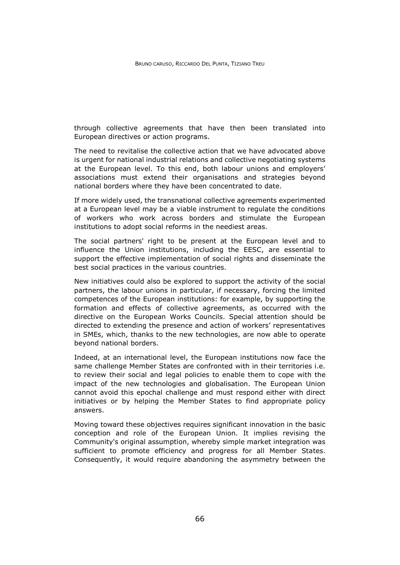through collective agreements that have then been translated into European directives or action programs.

The need to revitalise the collective action that we have advocated above is urgent for national industrial relations and collective negotiating systems at the European level. To this end, both labour unions and employers' associations must extend their organisations and strategies beyond national borders where they have been concentrated to date.

If more widely used, the transnational collective agreements experimented at a European level may be a viable instrument to regulate the conditions of workers who work across borders and stimulate the European institutions to adopt social reforms in the neediest areas.

The social partners' right to be present at the European level and to influence the Union institutions, including the EESC, are essential to support the effective implementation of social rights and disseminate the best social practices in the various countries.

New initiatives could also be explored to support the activity of the social partners, the labour unions in particular, if necessary, forcing the limited competences of the European institutions: for example, by supporting the formation and effects of collective agreements, as occurred with the directive on the European Works Councils. Special attention should be directed to extending the presence and action of workers' representatives in SMEs, which, thanks to the new technologies, are now able to operate beyond national borders.

Indeed, at an international level, the European institutions now face the same challenge Member States are confronted with in their territories i.e. to review their social and legal policies to enable them to cope with the impact of the new technologies and globalisation. The European Union cannot avoid this epochal challenge and must respond either with direct initiatives or by helping the Member States to find appropriate policy answers.

Moving toward these objectives requires significant innovation in the basic conception and role of the European Union. It implies revising the Community's original assumption, whereby simple market integration was sufficient to promote efficiency and progress for all Member States. Consequently, it would require abandoning the asymmetry between the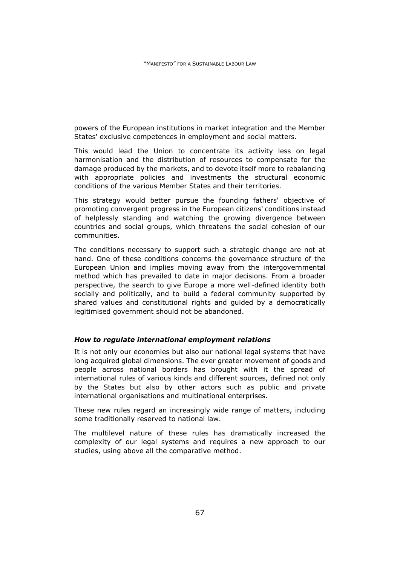powers of the European institutions in market integration and the Member States' exclusive competences in employment and social matters.

This would lead the Union to concentrate its activity less on legal harmonisation and the distribution of resources to compensate for the damage produced by the markets, and to devote itself more to rebalancing with appropriate policies and investments the structural economic conditions of the various Member States and their territories.

This strategy would better pursue the founding fathers' objective of promoting convergent progress in the European citizens' conditions instead of helplessly standing and watching the growing divergence between countries and social groups, which threatens the social cohesion of our communities.

The conditions necessary to support such a strategic change are not at hand. One of these conditions concerns the governance structure of the European Union and implies moving away from the intergovernmental method which has prevailed to date in major decisions. From a broader perspective, the search to give Europe a more well-defined identity both socially and politically, and to build a federal community supported by shared values and constitutional rights and guided by a democratically legitimised government should not be abandoned.

## *How to regulate international employment relations*

It is not only our economies but also our national legal systems that have long acquired global dimensions. The ever greater movement of goods and people across national borders has brought with it the spread of international rules of various kinds and different sources, defined not only by the States but also by other actors such as public and private international organisations and multinational enterprises.

These new rules regard an increasingly wide range of matters, including some traditionally reserved to national law.

The multilevel nature of these rules has dramatically increased the complexity of our legal systems and requires a new approach to our studies, using above all the comparative method.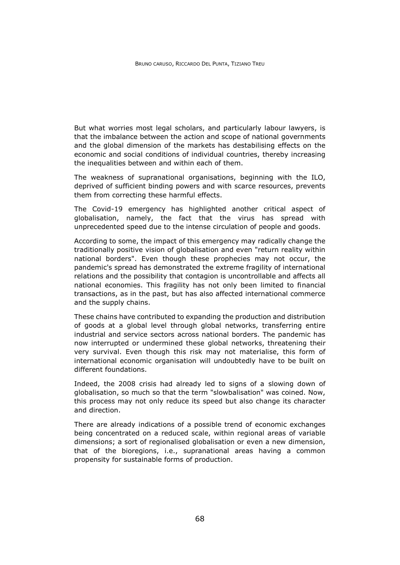But what worries most legal scholars, and particularly labour lawyers, is that the imbalance between the action and scope of national governments and the global dimension of the markets has destabilising effects on the economic and social conditions of individual countries, thereby increasing the inequalities between and within each of them.

The weakness of supranational organisations, beginning with the ILO, deprived of sufficient binding powers and with scarce resources, prevents them from correcting these harmful effects.

The Covid-19 emergency has highlighted another critical aspect of globalisation, namely, the fact that the virus has spread with unprecedented speed due to the intense circulation of people and goods.

According to some, the impact of this emergency may radically change the traditionally positive vision of globalisation and even "return reality within national borders". Even though these prophecies may not occur, the pandemic's spread has demonstrated the extreme fragility of international relations and the possibility that contagion is uncontrollable and affects all national economies. This fragility has not only been limited to financial transactions, as in the past, but has also affected international commerce and the supply chains.

These chains have contributed to expanding the production and distribution of goods at a global level through global networks, transferring entire industrial and service sectors across national borders. The pandemic has now interrupted or undermined these global networks, threatening their very survival. Even though this risk may not materialise, this form of international economic organisation will undoubtedly have to be built on different foundations.

Indeed, the 2008 crisis had already led to signs of a slowing down of globalisation, so much so that the term "slowbalisation" was coined. Now, this process may not only reduce its speed but also change its character and direction.

There are already indications of a possible trend of economic exchanges being concentrated on a reduced scale, within regional areas of variable dimensions; a sort of regionalised globalisation or even a new dimension, that of the bioregions, i.e., supranational areas having a common propensity for sustainable forms of production.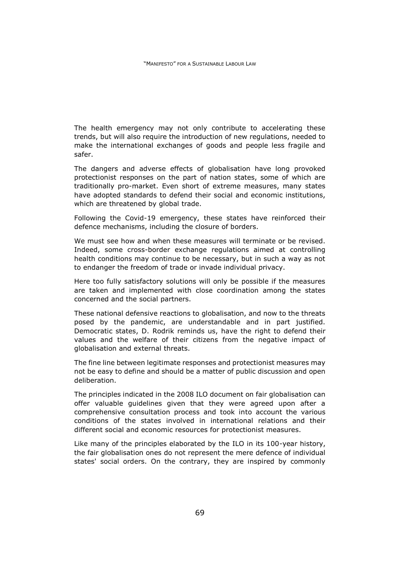The health emergency may not only contribute to accelerating these trends, but will also require the introduction of new regulations, needed to make the international exchanges of goods and people less fragile and safer.

The dangers and adverse effects of globalisation have long provoked protectionist responses on the part of nation states, some of which are traditionally pro-market. Even short of extreme measures, many states have adopted standards to defend their social and economic institutions, which are threatened by global trade.

Following the Covid-19 emergency, these states have reinforced their defence mechanisms, including the closure of borders.

We must see how and when these measures will terminate or be revised. Indeed, some cross-border exchange regulations aimed at controlling health conditions may continue to be necessary, but in such a way as not to endanger the freedom of trade or invade individual privacy.

Here too fully satisfactory solutions will only be possible if the measures are taken and implemented with close coordination among the states concerned and the social partners.

These national defensive reactions to globalisation, and now to the threats posed by the pandemic, are understandable and in part justified. Democratic states, D. Rodrik reminds us, have the right to defend their values and the welfare of their citizens from the negative impact of globalisation and external threats.

The fine line between legitimate responses and protectionist measures may not be easy to define and should be a matter of public discussion and open deliberation.

The principles indicated in the 2008 ILO document on fair globalisation can offer valuable guidelines given that they were agreed upon after a comprehensive consultation process and took into account the various conditions of the states involved in international relations and their different social and economic resources for protectionist measures.

Like many of the principles elaborated by the ILO in its 100-year history, the fair globalisation ones do not represent the mere defence of individual states' social orders. On the contrary, they are inspired by commonly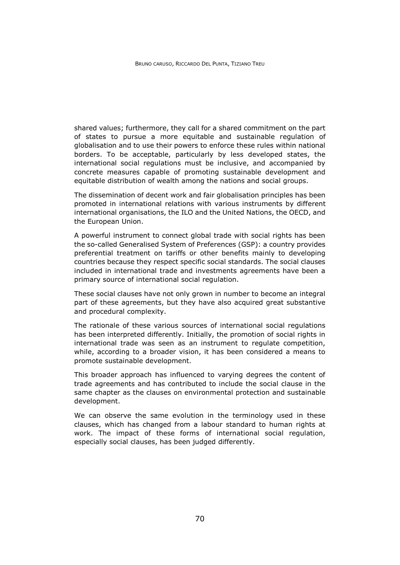shared values; furthermore, they call for a shared commitment on the part of states to pursue a more equitable and sustainable regulation of globalisation and to use their powers to enforce these rules within national borders. To be acceptable, particularly by less developed states, the international social regulations must be inclusive, and accompanied by concrete measures capable of promoting sustainable development and equitable distribution of wealth among the nations and social groups.

The dissemination of decent work and fair globalisation principles has been promoted in international relations with various instruments by different international organisations, the ILO and the United Nations, the OECD, and the European Union.

A powerful instrument to connect global trade with social rights has been the so-called Generalised System of Preferences (GSP): a country provides preferential treatment on tariffs or other benefits mainly to developing countries because they respect specific social standards. The social clauses included in international trade and investments agreements have been a primary source of international social regulation.

These social clauses have not only grown in number to become an integral part of these agreements, but they have also acquired great substantive and procedural complexity.

The rationale of these various sources of international social regulations has been interpreted differently. Initially, the promotion of social rights in international trade was seen as an instrument to regulate competition, while, according to a broader vision, it has been considered a means to promote sustainable development.

This broader approach has influenced to varying degrees the content of trade agreements and has contributed to include the social clause in the same chapter as the clauses on environmental protection and sustainable development.

We can observe the same evolution in the terminology used in these clauses, which has changed from a labour standard to human rights at work. The impact of these forms of international social regulation, especially social clauses, has been judged differently.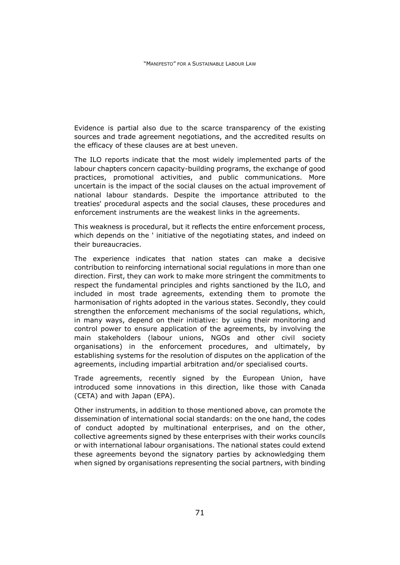Evidence is partial also due to the scarce transparency of the existing sources and trade agreement negotiations, and the accredited results on the efficacy of these clauses are at best uneven.

The ILO reports indicate that the most widely implemented parts of the labour chapters concern capacity-building programs, the exchange of good practices, promotional activities, and public communications. More uncertain is the impact of the social clauses on the actual improvement of national labour standards. Despite the importance attributed to the treaties' procedural aspects and the social clauses, these procedures and enforcement instruments are the weakest links in the agreements.

This weakness is procedural, but it reflects the entire enforcement process, which depends on the ' initiative of the negotiating states, and indeed on their bureaucracies.

The experience indicates that nation states can make a decisive contribution to reinforcing international social regulations in more than one direction. First, they can work to make more stringent the commitments to respect the fundamental principles and rights sanctioned by the ILO, and included in most trade agreements, extending them to promote the harmonisation of rights adopted in the various states. Secondly, they could strengthen the enforcement mechanisms of the social regulations, which, in many ways, depend on their initiative: by using their monitoring and control power to ensure application of the agreements, by involving the main stakeholders (labour unions, NGOs and other civil society organisations) in the enforcement procedures, and ultimately, by establishing systems for the resolution of disputes on the application of the agreements, including impartial arbitration and/or specialised courts.

Trade agreements, recently signed by the European Union, have introduced some innovations in this direction, like those with Canada (CETA) and with Japan (EPA).

Other instruments, in addition to those mentioned above, can promote the dissemination of international social standards: on the one hand, the codes of conduct adopted by multinational enterprises, and on the other, collective agreements signed by these enterprises with their works councils or with international labour organisations. The national states could extend these agreements beyond the signatory parties by acknowledging them when signed by organisations representing the social partners, with binding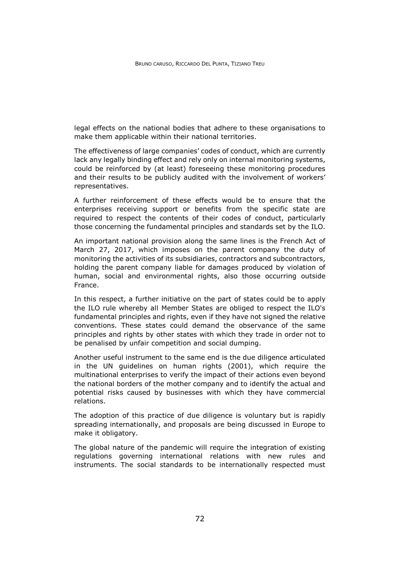legal effects on the national bodies that adhere to these organisations to make them applicable within their national territories.

The effectiveness of large companies' codes of conduct, which are currently lack any legally binding effect and rely only on internal monitoring systems, could be reinforced by (at least) foreseeing these monitoring procedures and their results to be publicly audited with the involvement of workers' representatives.

A further reinforcement of these effects would be to ensure that the enterprises receiving support or benefits from the specific state are required to respect the contents of their codes of conduct, particularly those concerning the fundamental principles and standards set by the ILO.

An important national provision along the same lines is the French Act of March 27, 2017, which imposes on the parent company the duty of monitoring the activities of its subsidiaries, contractors and subcontractors, holding the parent company liable for damages produced by violation of human, social and environmental rights, also those occurring outside France.

In this respect, a further initiative on the part of states could be to apply the ILO rule whereby all Member States are obliged to respect the ILO's fundamental principles and rights, even if they have not signed the relative conventions. These states could demand the observance of the same principles and rights by other states with which they trade in order not to be penalised by unfair competition and social dumping.

Another useful instrument to the same end is the due diligence articulated in the UN guidelines on human rights (2001), which require the multinational enterprises to verify the impact of their actions even beyond the national borders of the mother company and to identify the actual and potential risks caused by businesses with which they have commercial relations.

The adoption of this practice of due diligence is voluntary but is rapidly spreading internationally, and proposals are being discussed in Europe to make it obligatory.

The global nature of the pandemic will require the integration of existing regulations governing international relations with new rules and instruments. The social standards to be internationally respected must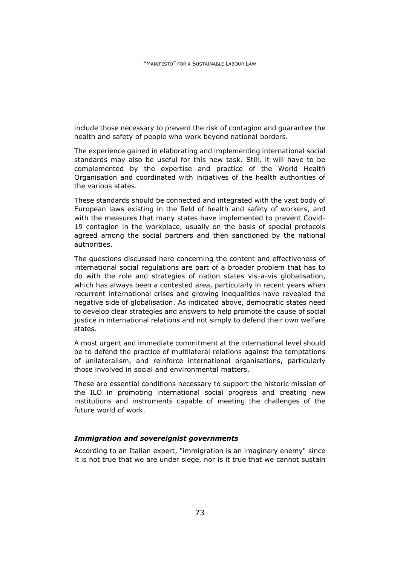include those necessary to prevent the risk of contagion and guarantee the health and safety of people who work beyond national borders.

The experience gained in elaborating and implementing international social standards may also be useful for this new task. Still, it will have to be complemented by the expertise and practice of the World Health Organisation and coordinated with initiatives of the health authorities of the various states.

These standards should be connected and integrated with the vast body of European laws existing in the field of health and safety of workers, and with the measures that many states have implemented to prevent Covid-19 contagion in the workplace, usually on the basis of special protocols agreed among the social partners and then sanctioned by the national authorities.

The questions discussed here concerning the content and effectiveness of international social regulations are part of a broader problem that has to do with the role and strategies of nation states vis-a-vis globalisation, which has always been a contested area, particularly in recent years when recurrent international crises and growing inequalities have revealed the negative side of globalisation. As indicated above, democratic states need to develop clear strategies and answers to help promote the cause of social justice in international relations and not simply to defend their own welfare states.

A most urgent and immediate commitment at the international level should be to defend the practice of multilateral relations against the temptations of unilateralism, and reinforce international organisations, particularly those involved in social and environmental matters.

These are essential conditions necessary to support the historic mission of the ILO in promoting international social progress and creating new institutions and instruments capable of meeting the challenges of the future world of work.

## *Immigration and sovereignist governments*

According to an Italian expert, "immigration is an imaginary enemy" since it is not true that we are under siege, nor is it true that we cannot sustain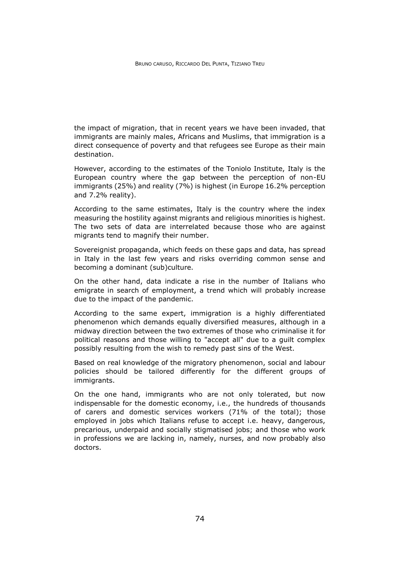the impact of migration, that in recent years we have been invaded, that immigrants are mainly males, Africans and Muslims, that immigration is a direct consequence of poverty and that refugees see Europe as their main destination.

However, according to the estimates of the Toniolo Institute, Italy is the European country where the gap between the perception of non-EU immigrants (25%) and reality (7%) is highest (in Europe 16.2% perception and 7.2% reality).

According to the same estimates, Italy is the country where the index measuring the hostility against migrants and religious minorities is highest. The two sets of data are interrelated because those who are against migrants tend to magnify their number.

Sovereignist propaganda, which feeds on these gaps and data, has spread in Italy in the last few years and risks overriding common sense and becoming a dominant (sub)culture.

On the other hand, data indicate a rise in the number of Italians who emigrate in search of employment, a trend which will probably increase due to the impact of the pandemic.

According to the same expert, immigration is a highly differentiated phenomenon which demands equally diversified measures, although in a midway direction between the two extremes of those who criminalise it for political reasons and those willing to "accept all" due to a guilt complex possibly resulting from the wish to remedy past sins of the West.

Based on real knowledge of the migratory phenomenon, social and labour policies should be tailored differently for the different groups of immigrants.

On the one hand, immigrants who are not only tolerated, but now indispensable for the domestic economy, i.e., the hundreds of thousands of carers and domestic services workers (71% of the total); those employed in jobs which Italians refuse to accept i.e. heavy, dangerous, precarious, underpaid and socially stigmatised jobs; and those who work in professions we are lacking in, namely, nurses, and now probably also doctors.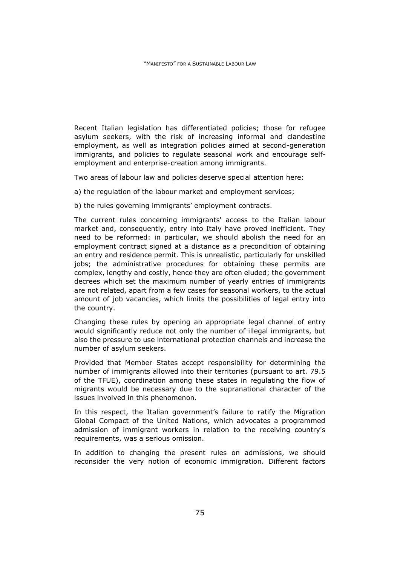Recent Italian legislation has differentiated policies; those for refugee asylum seekers, with the risk of increasing informal and clandestine employment, as well as integration policies aimed at second-generation immigrants, and policies to regulate seasonal work and encourage selfemployment and enterprise-creation among immigrants.

Two areas of labour law and policies deserve special attention here:

a) the regulation of the labour market and employment services;

b) the rules governing immigrants' employment contracts.

The current rules concerning immigrants' access to the Italian labour market and, consequently, entry into Italy have proved inefficient. They need to be reformed: in particular, we should abolish the need for an employment contract signed at a distance as a precondition of obtaining an entry and residence permit. This is unrealistic, particularly for unskilled jobs; the administrative procedures for obtaining these permits are complex, lengthy and costly, hence they are often eluded; the government decrees which set the maximum number of yearly entries of immigrants are not related, apart from a few cases for seasonal workers, to the actual amount of job vacancies, which limits the possibilities of legal entry into the country.

Changing these rules by opening an appropriate legal channel of entry would significantly reduce not only the number of illegal immigrants, but also the pressure to use international protection channels and increase the number of asylum seekers.

Provided that Member States accept responsibility for determining the number of immigrants allowed into their territories (pursuant to art. 79.5 of the TFUE), coordination among these states in regulating the flow of migrants would be necessary due to the supranational character of the issues involved in this phenomenon.

In this respect, the Italian government's failure to ratify the Migration Global Compact of the United Nations, which advocates a programmed admission of immigrant workers in relation to the receiving country's requirements, was a serious omission.

In addition to changing the present rules on admissions, we should reconsider the very notion of economic immigration. Different factors